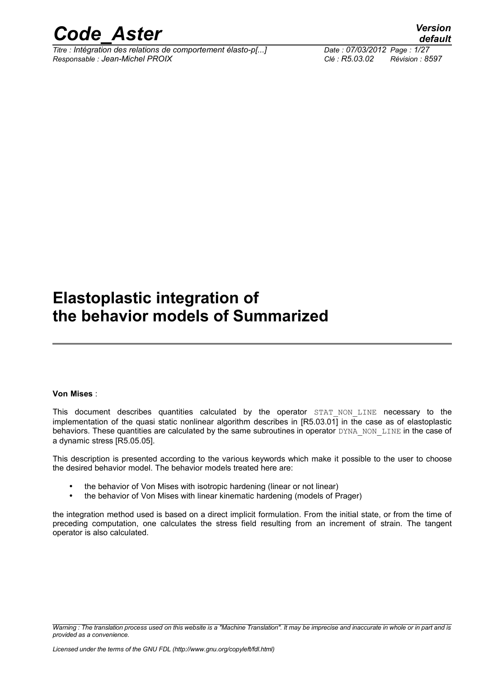

*Titre : Intégration des relations de comportement élasto-p[...] Date : 07/03/2012 Page : 1/27 Responsable : Jean-Michel PROIX Clé : R5.03.02 Révision : 8597*

*default*

### **Elastoplastic integration of the behavior models of Summarized**

#### **Von Mises** :

This document describes quantities calculated by the operator STAT NON LINE necessary to the implementation of the quasi static nonlinear algorithm describes in [R5.03.01] in the case as of elastoplastic behaviors. These quantities are calculated by the same subroutines in operator DYNA\_NON\_LINE in the case of a dynamic stress [R5.05.05].

This description is presented according to the various keywords which make it possible to the user to choose the desired behavior model. The behavior models treated here are:

- the behavior of Von Mises with isotropic hardening (linear or not linear)
- the behavior of Von Mises with linear kinematic hardening (models of Prager)

the integration method used is based on a direct implicit formulation. From the initial state, or from the time of preceding computation, one calculates the stress field resulting from an increment of strain. The tangent operator is also calculated.

*Warning : The translation process used on this website is a "Machine Translation". It may be imprecise and inaccurate in whole or in part and is provided as a convenience.*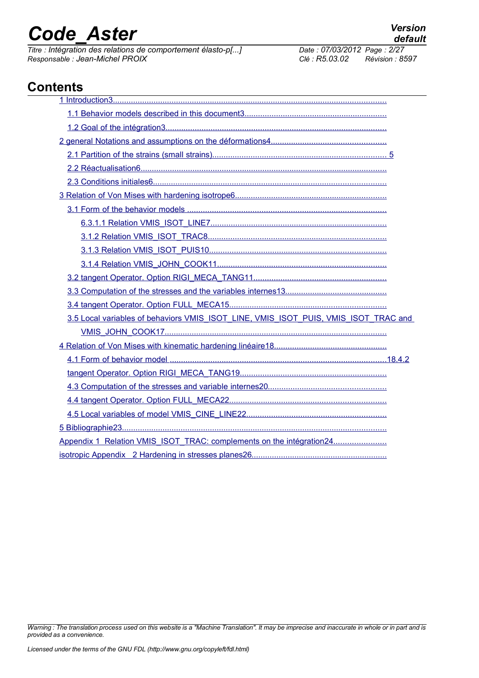*Titre : Intégration des relations de comportement élasto-p[...] Date : 07/03/2012 Date : 07/03/2012 Page : 2014 Responsable : Jean-Michel PROIX Clé : R5.03.02 Révision : 8597*

*default*

### **Contents**

| 3.5 Local variables of behaviors VMIS_ISOT_LINE, VMIS_ISOT_PUIS, VMIS_ISOT_TRAC and |
|-------------------------------------------------------------------------------------|
|                                                                                     |
|                                                                                     |
|                                                                                     |
|                                                                                     |
|                                                                                     |
|                                                                                     |
|                                                                                     |
|                                                                                     |
| Appendix 1 Relation VMIS_ISOT_TRAC: complements on the intégration24                |
|                                                                                     |

*Warning : The translation process used on this website is a "Machine Translation". It may be imprecise and inaccurate in whole or in part and is provided as a convenience.*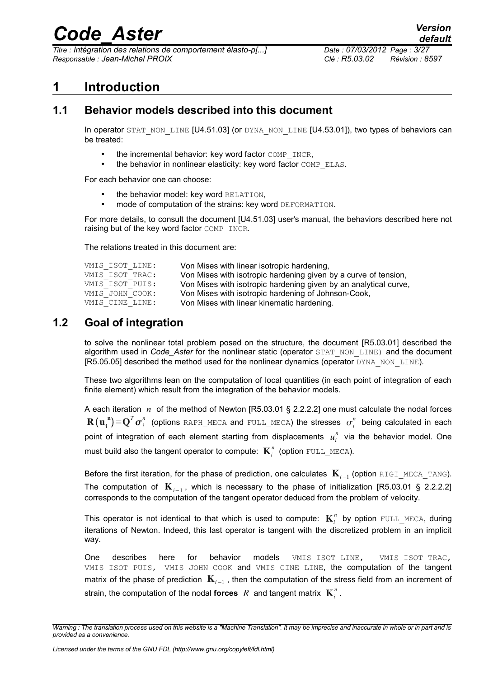*Titre : Intégration des relations de comportement élasto-p[...] Date : 07/03/2012 Page : 3/27 Responsable : Jean-Michel PROIX Clé : R5.03.02 Révision : 8597*

### <span id="page-2-0"></span>**1 Introduction**

#### **1.1 Behavior models described into this document**

<span id="page-2-2"></span>In operator STAT\_NON\_LINE [U4.51.03] (or DYNA\_NON\_LINE [U4.53.01]), two types of behaviors can be treated:

- the incremental behavior: key word factor COMP\_INCR,
- the behavior in nonlinear elasticity: key word factor COMP\_ELAS.

For each behavior one can choose:

- the behavior model: key word RELATION.
- mode of computation of the strains: key word DEFORMATION.

For more details, to consult the document [U4.51.03] user's manual, the behaviors described here not raising but of the key word factor COMP\_INCR.

The relations treated in this document are:

| VMIS ISOT LINE: | Von Mises with linear isotropic hardening,                       |
|-----------------|------------------------------------------------------------------|
| VMIS ISOT TRAC: | Von Mises with isotropic hardening given by a curve of tension,  |
| VMIS ISOT PUIS: | Von Mises with isotropic hardening given by an analytical curve, |
| VMIS JOHN COOK: | Von Mises with isotropic hardening of Johnson-Cook,              |
| VMIS CINE LINE: | Von Mises with linear kinematic hardening.                       |

#### **1.2 Goal of integration**

<span id="page-2-1"></span>to solve the nonlinear total problem posed on the structure, the document [R5.03.01] described the algorithm used in *Code Aster* for the nonlinear static (operator STAT\_NON\_LINE) and the document [R5.05.05] described the method used for the nonlinear dynamics (operator DYNA\_NON\_LINE).

These two algorithms lean on the computation of local quantities (in each point of integration of each finite element) which result from the integration of the behavior models.

A each iteration *n* of the method of Newton [R5.03.01 § 2.2.2.2] one must calculate the nodal forces  ${\bf R}\big({\bf u_i}^{\bf n}\big){=}{\bf Q}^T{\bm \sigma}_i^n$  (options <code>RAPH\_MECA</code> and <code>FULL\_MECA</code>) the stresses  $\sigma_i^n$  being calculated in each point of integration of each element starting from displacements  $u_i^n$  via the behavior model. One must build also the tangent operator to compute:  $\textbf{K}^n_i$  (option  $\text{\tiny{FULL\_MECA}}$ ).

Before the first iteration, for the phase of prediction, one calculates K*i*−<sup>1</sup> (option RIGI\_MECA\_TANG). The computation of K*i*−<sup>1</sup> , which is necessary to the phase of initialization [R5.03.01 § 2.2.2.2] corresponds to the computation of the tangent operator deduced from the problem of velocity.

This operator is not identical to that which is used to compute:  $K_i^n$  by option  $\text{full\_MECA}$ , during iterations of Newton. Indeed, this last operator is tangent with the discretized problem in an implicit way.

One describes here for behavior models VMIS\_ISOT\_LINE, VMIS\_ISOT\_TRAC, VMIS ISOT PUIS, VMIS JOHN COOK and VMIS CINE LINE, the computation of the tangent matrix of the phase of prediction  $\,{\rm {\bf K}}_{i-1}$  , then the computation of the stress field from an increment of strain, the computation of the nodal **forces**  $R$  and tangent matrix  $\mathbf{K}^n_i$ .

*Warning : The translation process used on this website is a "Machine Translation". It may be imprecise and inaccurate in whole or in part and is provided as a convenience.*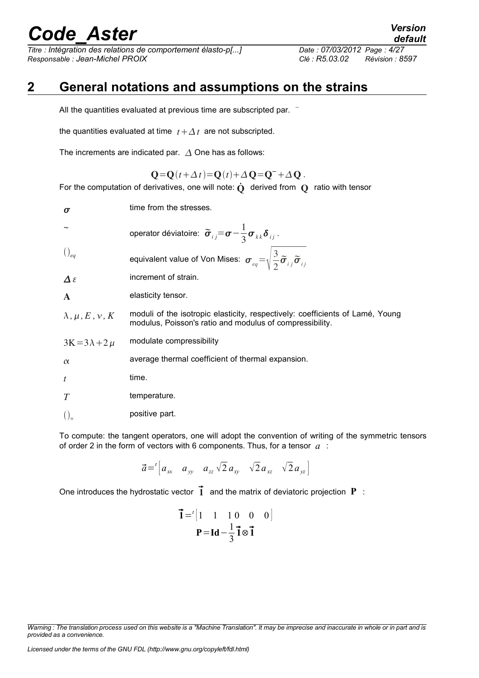*Titre : Intégration des relations de comportement élasto-p[...] Date : 07/03/2012 Page : 4/27 Responsable : Jean-Michel PROIX Clé : R5.03.02 Révision : 8597*

### **2 General notations and assumptions on the strains**

<span id="page-3-0"></span>All the quantities evaluated at previous time are subscripted par. <sup>−</sup>

the quantities evaluated at time  $t + \Delta t$  are not subscripted.

The increments are indicated par.  $\Delta$  One has as follows:

$$
\mathbf{Q} = \mathbf{Q}(t + \Delta t) = \mathbf{Q}(t) + \Delta \mathbf{Q} = \mathbf{Q}^- + \Delta \mathbf{Q}.
$$

For the computation of derivatives, one will note:  $\dot{Q}$  derived from  $Q$  ratio with tensor

| operator déviatoire: $\widetilde{\sigma}_{ij} = \sigma - \frac{1}{3} \sigma_{kk} \delta_{ij}$ .<br>equivalent value of Von Mises: $\sigma_{eq} = \sqrt{\frac{3}{2} \tilde{\sigma}_{ij} \tilde{\sigma}_{ij}}$<br>increment of strain.<br>elasticity tensor.<br>moduli of the isotropic elasticity, respectively: coefficients of Lamé, Young<br>modulus, Poisson's ratio and modulus of compressibility.<br>modulate compressibility<br>average thermal coefficient of thermal expansion.<br>time.<br>temperature.<br>positive part. | $\sigma$                  | time from the stresses. |
|-------------------------------------------------------------------------------------------------------------------------------------------------------------------------------------------------------------------------------------------------------------------------------------------------------------------------------------------------------------------------------------------------------------------------------------------------------------------------------------------------------------------------------------|---------------------------|-------------------------|
|                                                                                                                                                                                                                                                                                                                                                                                                                                                                                                                                     |                           |                         |
|                                                                                                                                                                                                                                                                                                                                                                                                                                                                                                                                     | $\big)_{eq}$              |                         |
|                                                                                                                                                                                                                                                                                                                                                                                                                                                                                                                                     | $\Delta \varepsilon$      |                         |
|                                                                                                                                                                                                                                                                                                                                                                                                                                                                                                                                     | $\mathbf{A}$              |                         |
|                                                                                                                                                                                                                                                                                                                                                                                                                                                                                                                                     | $\lambda, \mu, E, \nu, K$ |                         |
|                                                                                                                                                                                                                                                                                                                                                                                                                                                                                                                                     | $3K=3\lambda+2\mu$        |                         |
|                                                                                                                                                                                                                                                                                                                                                                                                                                                                                                                                     | $\alpha$                  |                         |
|                                                                                                                                                                                                                                                                                                                                                                                                                                                                                                                                     | $\boldsymbol{t}$          |                         |
|                                                                                                                                                                                                                                                                                                                                                                                                                                                                                                                                     | T                         |                         |
|                                                                                                                                                                                                                                                                                                                                                                                                                                                                                                                                     |                           |                         |

To compute: the tangent operators, one will adopt the convention of writing of the symmetric tensors of order 2 in the form of vectors with 6 components. Thus, for a tensor *a* :

$$
\vec{a} = \begin{bmatrix} a_{xx} & a_{yy} & a_{zz} \sqrt{2} a_{xy} & \sqrt{2} a_{xz} & \sqrt{2} a_{yz} \end{bmatrix}
$$

One introduces the hydrostatic vector  $\overrightarrow{1}$  and the matrix of deviatoric projection  $P$  :

$$
\vec{\mathbf{l}} = \begin{bmatrix} 1 & 1 & 1 & 0 & 0 & 0 \end{bmatrix}
$$

$$
\mathbf{P} = \mathbf{Id} - \frac{1}{3}\vec{\mathbf{l}} \otimes \vec{\mathbf{l}}
$$

*Licensed under the terms of the GNU FDL (http://www.gnu.org/copyleft/fdl.html)*

*Warning : The translation process used on this website is a "Machine Translation". It may be imprecise and inaccurate in whole or in part and is provided as a convenience.*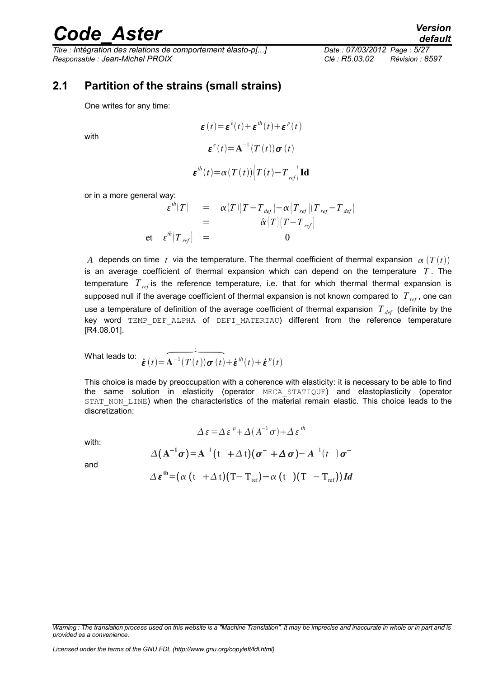with

*Titre : Intégration des relations de comportement élasto-p[...] Date : 07/03/2012 Page : 5/27 Responsable : Jean-Michel PROIX Clé : R5.03.02 Révision : 8597*

#### **2.1 Partition of the strains (small strains)**

<span id="page-4-0"></span>One writes for any time:

 $\boldsymbol{\varepsilon}(t) = \boldsymbol{\varepsilon}^e(t) + \boldsymbol{\varepsilon}^{th}(t) + \boldsymbol{\varepsilon}^p(t)$  $\boldsymbol{\varepsilon}^{e}(t) = \mathbf{A}^{-1}(T(t))\boldsymbol{\sigma}(t)$  $\boldsymbol{\varepsilon}^{th}(t) = \alpha(T(t))\left(T(t) - T_{ref}\right)$  **Id** 

or in a more general way:

$$
\varepsilon^{th}(T) = \alpha(T)(T - T_{def}) - \alpha(T_{ref})(T_{ref} - T_{def})
$$
  
=  $\hat{\alpha}(T)(T - T_{ref})$   
et  $\varepsilon^{th}(T_{ref}) = 0$ 

*A* depends on time *t* via the temperature. The thermal coefficient of thermal expansion  $\alpha(T(t))$ is an average coefficient of thermal expansion which can depend on the temperature *T* . The temperature *Tref* is the reference temperature, i.e. that for which thermal thermal expansion is supposed null if the average coefficient of thermal expansion is not known compared to *Tref* , one can use a temperature of definition of the average coefficient of thermal expansion  $T_{\text{def}}$  (definite by the key word TEMP DEF ALPHA of DEFI MATERIAU) different from the reference temperature [R4.08.01].  $\overbrace{A^{-1}(T(t))\boldsymbol{\sigma}(t)}^{\text{ALPHA}}$ 

What leads to:  $\overline{\dot{\boldsymbol{\varepsilon}}\left(t\right)}\!=\!\widehat{\mathbf{A}}$ .

This choice is made by preoccupation with a coherence with elasticity: it is necessary to be able to find the same solution in elasticity (operator MECA\_STATIQUE) and elastoplasticity (operator STAT\_NON\_LINE) when the characteristics of the material remain elastic. This choice leads to the discretization:

with:

$$
\Delta \varepsilon = \Delta \varepsilon^{p} + \Delta (A^{-1} \sigma) + \Delta \varepsilon^{th}
$$

$$
\Delta (\mathbf{A}^{-1} \sigma) = \mathbf{A}^{-1} (\mathbf{t}^{-} + \Delta \mathbf{t}) (\sigma^{-} + \Delta \sigma) - \mathbf{A}^{-1} (\mathbf{t}^{-}) \sigma^{-}
$$

 $+\dot{\boldsymbol{\varepsilon}}^{th}(t)+\dot{\boldsymbol{\varepsilon}}^{p}(t)$ 

and

$$
\Delta\,\boldsymbol{\varepsilon}^{\,\mathrm{th}}\!=\!\left(\alpha\,\left(\mathrm{t}^{-}+\Delta\,\mathrm{t}\right)\!\left(\mathrm{T}\!-\mathrm{T}_{\mathrm{ref}}\right)\!-\!\alpha\,\left(\mathrm{t}^{-}\right)\!\left(\mathrm{T}^{-}-\mathrm{T}_{\mathrm{ref}}\right)\right)\boldsymbol{Id}
$$

*Warning : The translation process used on this website is a "Machine Translation". It may be imprecise and inaccurate in whole or in part and is provided as a convenience.*

*Licensed under the terms of the GNU FDL (http://www.gnu.org/copyleft/fdl.html)*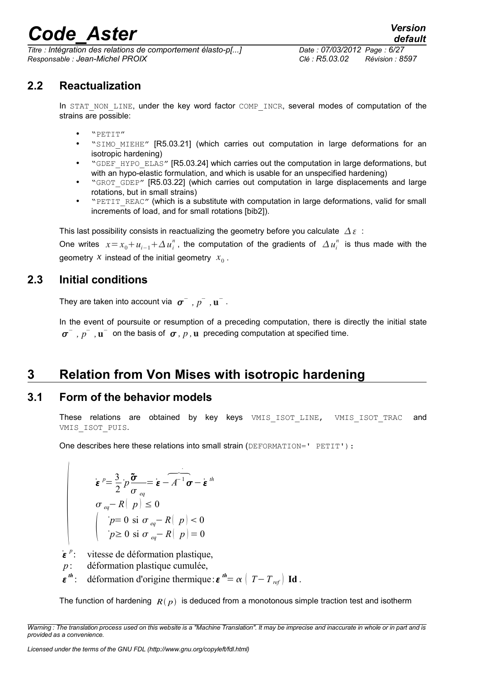*Titre : Intégration des relations de comportement élasto-p[...] Date : 07/03/2012 Page : 6/27 Responsable : Jean-Michel PROIX Clé : R5.03.02 Révision : 8597*

**2.2 Reactualization**

<span id="page-5-3"></span>In STAT NON LINE, under the key word factor COMP\_INCR, several modes of computation of the strains are possible:

- "PETIT"
- "SIMO MIEHE" [R5.03.21] (which carries out computation in large deformations for an isotropic hardening)
- "GDEF\_HYPO\_ELAS" [R5.03.24] which carries out the computation in large deformations, but with an hypo-elastic formulation, and which is usable for an unspecified hardening)
- "GROT GDEP" [R5.03.22] (which carries out computation in large displacements and large rotations, but in small strains)
- "PETIT\_REAC" (which is a substitute with computation in large deformations, valid for small increments of load, and for small rotations [bib2]).

This last possibility consists in reactualizing the geometry before you calculate  $\Delta \varepsilon$ :

One writes  $x = x_0 + u_{i-1} + \Delta u_i^n$ , the computation of the gradients of  $\Delta u_i^n$  is thus made with the geometry  $x$  instead of the initial geometry  $x_0$ .

#### **2.3 Initial conditions**

<span id="page-5-2"></span>They are taken into account via  $\sigma^-$  ,  $p^-$  ,  $\mathbf{u}^-$  .

In the event of poursuite or resumption of a preceding computation, there is directly the initial state  $\sigma^-$  *,*  $p^-$  ,  $\mathbf{u}^-$  on the basis of  $\sigma$  *,*  $p$  ,  $\mathbf{u}$  preceding computation at specified time.

### <span id="page-5-1"></span>**3 Relation from Von Mises with isotropic hardening**

#### **3.1 Form of the behavior models**

<span id="page-5-0"></span>These relations are obtained by key keys VMIS\_ISOT\_LINE, VMIS\_ISOT\_TRAC and VMIS\_ISOT\_PUIS.

One describes here these relations into small strain (DEFORMATION=' PETIT'):

$$
\begin{aligned}\n\dot{\boldsymbol{\varepsilon}}^p &= \frac{3}{2} p \frac{\boldsymbol{\tilde{\sigma}}}{\sigma_{eq}} = \boldsymbol{\varepsilon} - \overline{A^{-1}} \boldsymbol{\sigma} - \boldsymbol{\varepsilon}^m \\
\sigma_{eq} - R(\boldsymbol{p}) &\leq 0 \\
\left( \begin{array}{c} p = 0 \text{ si } \sigma_{eq} - R(\boldsymbol{p}) < 0 \\
\boldsymbol{p} \geq 0 \text{ si } \sigma_{eq} - R(\boldsymbol{p}) = 0 \end{array} \right.\n\end{aligned}
$$

- ˙ *p* : vitesse de déformation plastique,
- *p* : déformation plastique cumulée,
- *th*  $\therefore$  déformation d'origine thermique: ε<sup>th</sup>= α  $\left(T - T_{ref}\right)$  **Id**.

The function of hardening  $R(p)$  is deduced from a monotonous simple traction test and isotherm

*Warning : The translation process used on this website is a "Machine Translation". It may be imprecise and inaccurate in whole or in part and is provided as a convenience.*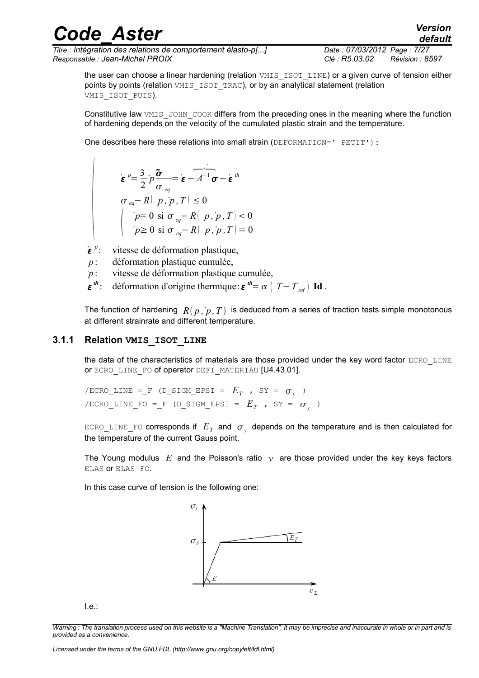*Titre : Intégration des relations de comportement élasto-p[...] Date : 07/03/2012 Page : 7/27 Responsable : Jean-Michel PROIX Clé : R5.03.02 Révision : 8597*

the user can choose a linear hardening (relation VMIS ISOT LINE) or a given curve of tension either points by points (relation VMIS ISOT TRAC), or by an analytical statement (relation VMIS\_ISOT\_PUIS).

Constitutive law VMIS JOHN COOK differs from the preceding ones in the meaning where the function of hardening depends on the velocity of the cumulated plastic strain and the temperature.

One describes here these relations into small strain (DEFORMATION=' PETIT'):

$$
\begin{aligned}\n\boldsymbol{\varepsilon}^p &= \frac{3}{2} p \frac{\boldsymbol{\tilde{\sigma}}}{\sigma_{eq}} = \boldsymbol{\varepsilon} - \overline{A^{-1} \sigma} - \boldsymbol{\varepsilon}^{th} \\
\sigma_{eq} - R(\boldsymbol{p}, \boldsymbol{p}, T) &\leq 0 \\
\left( \begin{array}{c} \boldsymbol{p} &= 0 \text{ si } \sigma_{eq} - R(\boldsymbol{p}, \boldsymbol{p}, T) < 0 \\
\boldsymbol{p} &\geq 0 \text{ si } \sigma_{eq} - R(\boldsymbol{p}, \boldsymbol{p}, T) &= 0\n\end{array} \right.\n\end{aligned}
$$

˙ *p* : vitesse de déformation plastique,

- *p* : déformation plastique cumulée,
- ˙*p* : vitesse de déformation plastique cumulée,
- *th*  $\therefore$  déformation d'origine thermique: ε<sup>th</sup>= α  $\left(T - T_{ref}\right)$  **Id**.

The function of hardening  $R(p, p, T)$  is deduced from a series of traction tests simple monotonous at different strainrate and different temperature.

#### **3.1.1 Relation VMIS\_ISOT\_LINE**

<span id="page-6-0"></span>the data of the characteristics of materials are those provided under the key word factor ECRO LINE or ECRO\_LINE\_FO of operator DEFI\_MATERIAU [U4.43.01].

 $\ell$  /ECRO\_LINE =\_F (D\_SIGM\_EPSI =  $E_T$  , SY =  $\sigma_y$  )  $\ell$  /ECRO\_LINE\_FO =\_F (D\_SIGM\_EPSI =  $E_T$  , SY =  $\sigma_y$  )

 $\texttt{ECRO\_LINE\_FO}$  corresponds if  $|E^{}_T|$  and  $|\sigma_{_{{\cal Y}}}$  depends on the temperature and is then calculated for the temperature of the current Gauss point.

The Young modulus E and the Poisson's ratio  $\gamma$  are those provided under the key keys factors ELAS or ELAS\_FO.

In this case curve of tension is the following one:



I.e.:

*Warning : The translation process used on this website is a "Machine Translation". It may be imprecise and inaccurate in whole or in part and is provided as a convenience.*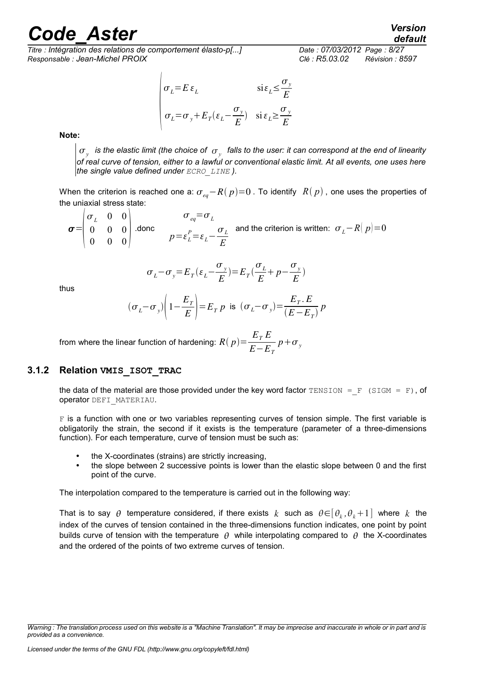## rande Aster *Version*

*Titre : Intégration des relations de comportement élasto-p[...] Date : 07/03/2012 Page : 8/27 Responsable : Jean-Michel PROIX Clé : R5.03.02 Révision : 8597*

#### $\sigma_{L}$  $\sigma_L = E \varepsilon_L$  si $\varepsilon_L \leq$  $\sigma_{y}$ *E*  $\sigma_L = \sigma_y + E_T(\varepsilon_L \sigma_{y}$  $\frac{\sum y}{E}$ ) si  $\varepsilon_L$   $\geq$  $\sigma_y$ *E*

**Note:**

 $\sigma_{_{\rm {\cal Y}}}$  is the elastic limit (the choice of  $\,\sigma_{_{\rm {\cal Y}}} \,$  falls to the user: it can correspond at the end of linearity *of real curve of tension, either to a lawful or conventional elastic limit. At all events, one uses here the single value defined under ECRO\_LINE ).*

When the criterion is reached one a:  $\sigma_{\rho}$ − $R(p)=0$ . To identify  $R(p)$ , one uses the properties of the uniaxial stress state:

 $\sigma = \begin{array}{c} 0 \\ 0 \end{array}$  $\sigma_{_L}$  0 0 0 0 0  $\begin{bmatrix} 0 & 0 & 0 \end{bmatrix}$ .donc  $\sigma_{eq} = \sigma_{L}$  $p = \varepsilon_L^P = \varepsilon_L - \frac{\sigma_L}{F}$ *E* and the criterion is written:  $\sigma_L - R(p) = 0$ 

$$
\sigma_L - \sigma_y = E_T(\varepsilon_L - \frac{\sigma_y}{E}) = E_T(\frac{\sigma_L}{E} + p - \frac{\sigma_y}{E})
$$

thus

$$
(\sigma_L - \sigma_y)\left(1 - \frac{E_T}{E}\right) = E_T p
$$
 is  $(\sigma_L - \sigma_y) = \frac{E_T E}{(E - E_T)} p$ 

from where the linear function of hardening:  $R(p)$   $=$   $\frac{E_T E}{E_T}$ *E*−*E<sup>T</sup>*  $p + \sigma_{y}$ 

#### **3.1.2 Relation VMIS\_ISOT\_TRAC**

<span id="page-7-0"></span>the data of the material are those provided under the key word factor TENSION = F (SIGM = F), of operator DEFI\_MATERIAU.

F is a function with one or two variables representing curves of tension simple. The first variable is obligatorily the strain, the second if it exists is the temperature (parameter of a three-dimensions function). For each temperature, curve of tension must be such as:

- the X-coordinates (strains) are strictly increasing,
- the slope between 2 successive points is lower than the elastic slope between 0 and the first point of the curve.

The interpolation compared to the temperature is carried out in the following way:

That is to say  $\theta$  temperature considered, if there exists  $k$  such as  $\theta{\in}[\theta_k,\theta_k{+}1]$  where  $k$  the index of the curves of tension contained in the three-dimensions function indicates, one point by point builds curve of tension with the temperature  $\theta$  while interpolating compared to  $\theta$  the X-coordinates and the ordered of the points of two extreme curves of tension.

*default*

*Warning : The translation process used on this website is a "Machine Translation". It may be imprecise and inaccurate in whole or in part and is provided as a convenience.*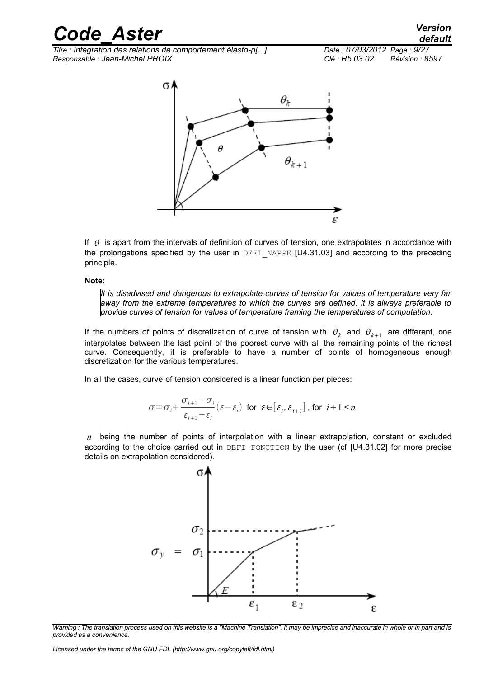*Titre : Intégration des relations de comportement élasto-p[...] Date : 07/03/2012 Page : 9/27 Responsable : Jean-Michel PROIX Clé : R5.03.02 Révision : 8597*



If  $\theta$  is apart from the intervals of definition of curves of tension, one extrapolates in accordance with the prolongations specified by the user in DEFI\_NAPPE  $[U4.31.03]$  and according to the preceding principle.

#### **Note:**

*It is disadvised and dangerous to extrapolate curves of tension for values of temperature very far away from the extreme temperatures to which the curves are defined. It is always preferable to provide curves of tension for values of temperature framing the temperatures of computation.*

If the numbers of points of discretization of curve of tension with  $\theta_k$  and  $\theta_{k+1}$  are different, one interpolates between the last point of the poorest curve with all the remaining points of the richest curve. Consequently, it is preferable to have a number of points of homogeneous enough discretization for the various temperatures.

In all the cases, curve of tension considered is a linear function per pieces:

$$
\sigma = \sigma_i + \frac{\sigma_{i+1} - \sigma_i}{\varepsilon_{i+1} - \varepsilon_i} (\varepsilon - \varepsilon_i) \text{ for } \varepsilon \in [\varepsilon_i, \varepsilon_{i+1}], \text{ for } i+1 \le n
$$

*n* being the number of points of interpolation with a linear extrapolation, constant or excluded according to the choice carried out in DEFI\_FONCTION by the user (cf [U4.31.02] for more precise details on extrapolation considered).



*Warning : The translation process used on this website is a "Machine Translation". It may be imprecise and inaccurate in whole or in part and is provided as a convenience.*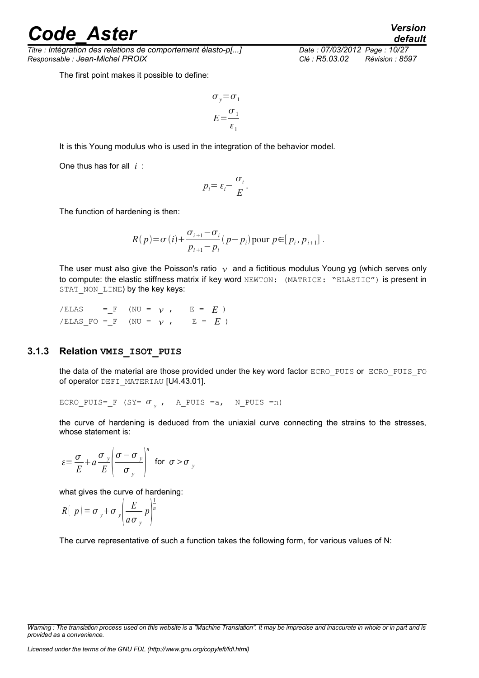*Titre : Intégration des relations de comportement élasto-p[...] Date : 07/03/2012 Page : 10/27 Responsable : Jean-Michel PROIX Clé : R5.03.02 Révision : 8597*

The first point makes it possible to define:

$$
\sigma_y = \sigma_1
$$

$$
E = \frac{\sigma_1}{\varepsilon_1}
$$

It is this Young modulus who is used in the integration of the behavior model.

One thus has for all *i* :

$$
p_i = \varepsilon_i - \frac{\sigma_i}{E}.
$$

The function of hardening is then:

$$
R(p) = \sigma(i) + \frac{\sigma_{i+1} - \sigma_i}{p_{i+1} - p_i} (p - p_i) \text{ pour } p \in [p_i, p_{i+1}].
$$

The user must also give the Poisson's ratio  $\gamma$  and a fictitious modulus Young yg (which serves only to compute: the elastic stiffness matrix if key word NEWTON: (MATRICE: "ELASTIC") is present in STAT\_NON\_LINE) by the key keys:

 $/ELAS$  = F (NU =  $\gamma$ , E =  $E$ ) /ELAS FO = F (NU =  $\gamma$ , E =  $E$ )

#### **3.1.3 Relation VMIS\_ISOT\_PUIS**

<span id="page-9-0"></span>the data of the material are those provided under the key word factor ECRO\_PUIS or ECRO\_PUIS\_FO of operator DEFI\_MATERIAU [U4.43.01].

ECRO\_PUIS=\_F (SY=  $\sigma_y$ , A\_PUIS =a, N\_PUIS =n)

the curve of hardening is deduced from the uniaxial curve connecting the strains to the stresses, whose statement is:

$$
\varepsilon = \frac{\sigma}{E} + a \frac{\sigma_y}{E} \left( \frac{\sigma - \sigma_y}{\sigma_y} \right)^n \text{ for } \sigma > \sigma_y
$$

what gives the curve of hardening:

$$
R(|p| = \sigma_y + \sigma_y \left(\frac{E}{a \sigma_y} p\right)^{\frac{1}{n}}
$$

The curve representative of such a function takes the following form, for various values of N:

*default*

*Warning : The translation process used on this website is a "Machine Translation". It may be imprecise and inaccurate in whole or in part and is provided as a convenience.*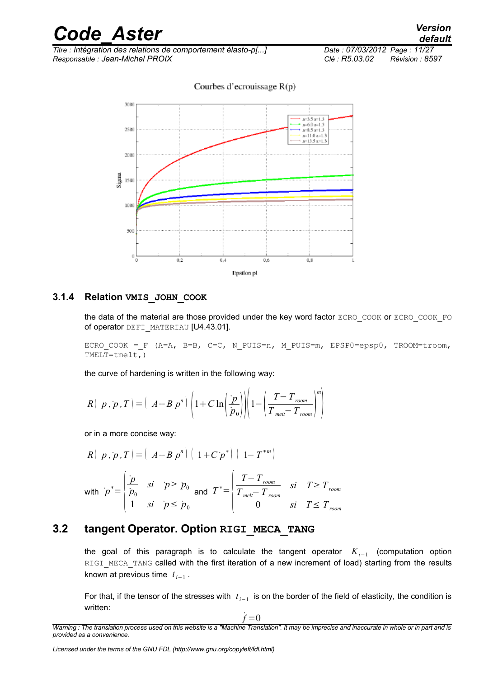

Courbes d'ecrouissage  $R(p)$ 

#### **3.1.4 Relation VMIS\_JOHN\_COOK**

<span id="page-10-1"></span>the data of the material are those provided under the key word factor ECRO\_COOK or ECRO\_COOK\_FO of operator DEFI\_MATERIAU [U4.43.01].

ECRO COOK = F (A=A, B=B, C=C, N PUIS=n, M PUIS=m, EPSP0=epsp0, TROOM=troom, TMELT=tmelt,)

the curve of hardening is written in the following way:

$$
R(|p, p, T) = (A + B p^n) \left(1 + C \ln\left(\frac{p}{p_0}\right) \right) \left(1 - \left(\frac{T - T_{\text{room}}}{T_{\text{melt}} - T_{\text{room}}}\right)^m\right)
$$

or in a more concise way:

$$
R(|p, p, T) = (A + B p^n) (1 + C p^*) (1 - T^{*m})
$$
  
with  $p^* = \begin{cases} \frac{p}{p_0} & \text{si } p \ge p_0 \\ 1 & \text{si } p \le p_0 \end{cases}$  and  $T^* = \begin{cases} \frac{T - T_{\text{room}}}{T_{\text{mel}} - T_{\text{room}}} & \text{si } T \ge T_{\text{room}} \\ 0 & \text{si } T \le T_{\text{room}} \end{cases}$ 

#### **3.2 tangent Operator. Option RIGI\_MECA\_TANG**

<span id="page-10-0"></span>the goal of this paragraph is to calculate the tangent operator *Ki*−<sup>1</sup> (computation option RIGI MECA TANG called with the first iteration of a new increment of load) starting from the results known at previous time  $t_{i-1}$  .

For that, if the tensor of the stresses with *t*<sub>*i*−1</sub> is on the border of the field of elasticity, the condition is written:

˙*f* =0

*Warning : The translation process used on this website is a "Machine Translation". It may be imprecise and inaccurate in whole or in part and is provided as a convenience.*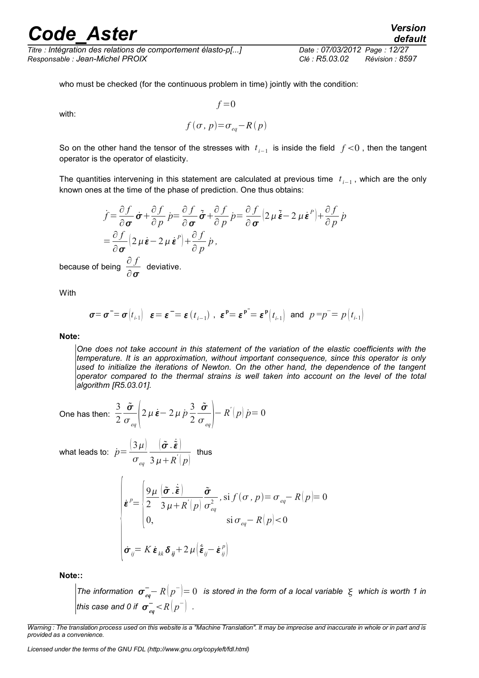*Titre : Intégration des relations de comportement élasto-p[...] Date : 07/03/2012 Page : 12/27 Responsable : Jean-Michel PROIX Clé : R5.03.02 Révision : 8597*

who must be checked (for the continuous problem in time) jointly with the condition:

with:

$$
f(\sigma, p) = \sigma_{eq} - R(p)
$$

 $f = 0$ 

So on the other hand the tensor of the stresses with  $t_{i-1}$  is inside the field  $f$  <0, then the tangent operator is the operator of elasticity.

The quantities intervening in this statement are calculated at previous time  $t_{i-1}$ , which are the only known ones at the time of the phase of prediction. One thus obtains:

$$
\dot{f} = \frac{\partial f}{\partial \sigma} \dot{\sigma} + \frac{\partial f}{\partial p} \dot{p} = \frac{\partial f}{\partial \sigma} \tilde{\sigma} + \frac{\partial f}{\partial p} \dot{p} = \frac{\partial f}{\partial \sigma} (2 \mu \tilde{\epsilon} - 2 \mu \dot{\epsilon}^p) + \frac{\partial f}{\partial p} \dot{p}
$$
  
=  $\frac{\partial f}{\partial \sigma} (2 \mu \dot{\epsilon} - 2 \mu \dot{\epsilon}^p) + \frac{\partial f}{\partial p} \dot{p}$ ,  
being  $\frac{\partial f}{\partial \sigma}$  deviative.

With

because of

$$
\sigma = \sigma^- = \sigma \begin{bmatrix} t_{i-1} \end{bmatrix} \quad \varepsilon = \varepsilon^- = \varepsilon \begin{bmatrix} t_{i-1} \end{bmatrix}, \quad \varepsilon^p = \varepsilon^p = \varepsilon^p \begin{bmatrix} t_{i-1} \end{bmatrix} \quad \text{and} \quad p = p^- = p \begin{bmatrix} t_{i-1} \end{bmatrix}
$$

#### **Note:**

*One does not take account in this statement of the variation of the elastic coefficients with the temperature. It is an approximation, without important consequence, since this operator is only used to initialize the iterations of Newton. On the other hand, the dependence of the tangent operator compared to the thermal strains is well taken into account on the level of the total algorithm [R5.03.01].*

One has then: 
$$
\frac{3}{2} \frac{\tilde{\sigma}}{\sigma_{eq}} \left( 2 \mu \dot{\epsilon} - 2 \mu \dot{p} \frac{3}{2} \frac{\tilde{\sigma}}{\sigma_{eq}} \right) - R'(p) \dot{p} = 0
$$

 $\left|\tilde{\bm{\sigma}}_{\cdot}\dot{\tilde{\bm{\varepsilon}}}\right|$  $3 \mu + R^{'}(p)$ 

 $\vert 3\mu \vert$  $\sigma_{_{eq}}$ 

what leads to:  $\dot{p}$  =

$$
\begin{cases}\n\dot{\boldsymbol{\varepsilon}}^{p} = \begin{cases}\n\frac{9\mu}{2} \left( \frac{\tilde{\boldsymbol{\sigma}} \cdot \dot{\tilde{\boldsymbol{\varepsilon}}}}{3\mu + R(p)} \frac{\tilde{\boldsymbol{\sigma}}}{\sigma_{eq}^{2}}, \text{ si } f(\boldsymbol{\sigma}, p) = \sigma_{eq} - R(p) = 0 \\
0, \quad \text{ si } \sigma_{eq} - R(p) < 0\n\end{cases} \\
\dot{\boldsymbol{\sigma}}_{ij} = K \dot{\boldsymbol{\varepsilon}}_{kk} \delta_{ij} + 2\mu \left( \dot{\tilde{\boldsymbol{\varepsilon}}}_{ij} - \dot{\boldsymbol{\varepsilon}}_{ij}^{p} \right)\n\end{cases}
$$

thus

**Note::**

 $\sigma$  *The information*  $\sigma_{eq}^--R\vert p^-\vert =0$  *is stored in the form of a local variable*  $\,\,\xi\,$  *which is worth 1 in this case and 0 if*  $\left. \sigma_{\mathit{eq}}^{-} \! < \! R \big| p^{-} \right|$  *.* 

*Warning : The translation process used on this website is a "Machine Translation". It may be imprecise and inaccurate in whole or in part and is provided as a convenience.*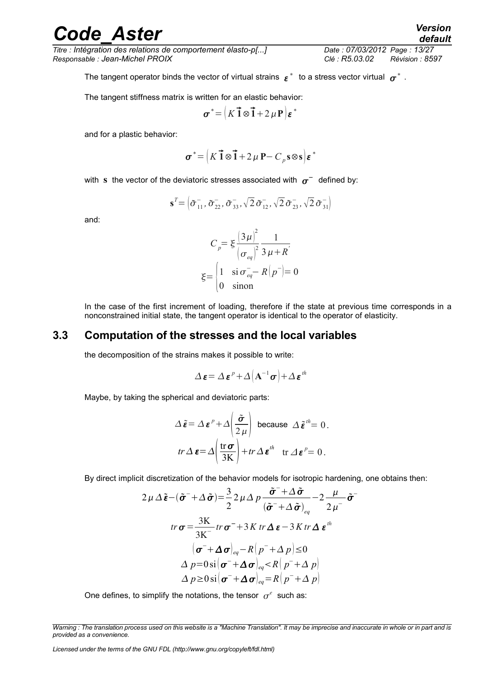*Titre : Intégration des relations de comportement élasto-p[...] Date : 07/03/2012 Page : 13/27 Responsable : Jean-Michel PROIX Clé : R5.03.02 Révision : 8597*

The tangent operator binds the vector of virtual strains  $|{\bm \varepsilon}|^*$  to a stress vector virtual  $|{\bm \sigma}|^*$  .

The tangent stiffness matrix is written for an elastic behavior:

$$
\boldsymbol{\sigma}^* = \left(K \vec{1} \otimes \vec{1} + 2 \,\mu \,\mathbf{P}\right) \boldsymbol{\varepsilon}^*
$$

and for a plastic behavior:

$$
\boldsymbol{\sigma}^* = \left(K\vec{\mathbf{1}}\otimes\vec{\mathbf{1}} + 2\,\mu\,\mathbf{P} - C_p\,\mathbf{s}\otimes\mathbf{s}\right)\boldsymbol{\varepsilon}^*
$$

with  $\, {\bf s} \,$  the vector of the deviatoric stresses associated with  $\, \sigma^{\pm} \,$  defined by:

$$
\mathbf{s}^T = \left( \tilde{\sigma}_{11}^-, \tilde{\sigma}_{22}^-, \tilde{\sigma}_{33}^-, \sqrt{2} \tilde{\sigma}_{12}^-, \sqrt{2} \tilde{\sigma}_{23}^-, \sqrt{2} \tilde{\sigma}_{31}^- \right)
$$

and:

$$
C_p = \xi \frac{\left(3\mu\right)^2}{\left(\sigma_{eq}\right)^2} \frac{1}{3\mu + R'}
$$

$$
\xi = \begin{cases} 1 & \text{si } \sigma_{eq}^- - R\left(p^-\right) = 0 \\ 0 & \text{sinon} \end{cases}
$$

In the case of the first increment of loading, therefore if the state at previous time corresponds in a nonconstrained initial state, the tangent operator is identical to the operator of elasticity.

#### **3.3 Computation of the stresses and the local variables**

<span id="page-12-0"></span>the decomposition of the strains makes it possible to write:

$$
\Delta \boldsymbol{\varepsilon} = \Delta \boldsymbol{\varepsilon}^p + \Delta \left( \mathbf{A}^{-1} \boldsymbol{\sigma} \right) + \Delta \boldsymbol{\varepsilon}^{th}
$$

Maybe, by taking the spherical and deviatoric parts:

$$
\Delta \tilde{\boldsymbol{\varepsilon}} = \Delta \boldsymbol{\varepsilon}^p + \Delta \left( \frac{\tilde{\boldsymbol{\sigma}}}{2 \mu} \right) \text{ because } \Delta \tilde{\boldsymbol{\varepsilon}}^{\text{th}} = 0.
$$
  

$$
tr \Delta \boldsymbol{\varepsilon} = \Delta \left( \frac{\text{tr } \boldsymbol{\sigma}}{3 \text{K}} \right) + tr \Delta \boldsymbol{\varepsilon}^{\text{th}} \text{ tr } \Delta \boldsymbol{\varepsilon}^{\text{p}} = 0.
$$

By direct implicit discretization of the behavior models for isotropic hardening, one obtains then:

$$
2\mu \Delta \tilde{\boldsymbol{\varepsilon}} - (\tilde{\boldsymbol{\sigma}}^{-} + \Delta \tilde{\boldsymbol{\sigma}}) = \frac{3}{2} 2\mu \Delta p \frac{\tilde{\boldsymbol{\sigma}}^{-} + \Delta \tilde{\boldsymbol{\sigma}}}{(\tilde{\boldsymbol{\sigma}}^{-} + \Delta \tilde{\boldsymbol{\sigma}})_{eq}} - 2 \frac{\mu}{2\mu^{-}} \tilde{\boldsymbol{\sigma}}^{-}
$$
  

$$
tr \boldsymbol{\sigma} = \frac{3K}{3K^{-}} tr \boldsymbol{\sigma}^{-} + 3K tr \Delta \boldsymbol{\varepsilon} - 3K tr \Delta \boldsymbol{\varepsilon}^{th}
$$

$$
(\boldsymbol{\sigma}^{-} + \Delta \boldsymbol{\sigma})_{eq} - R(p^{-} + \Delta p) \le 0
$$

$$
\Delta p = 0 \text{ si } (\boldsymbol{\sigma}^{-} + \Delta \boldsymbol{\sigma})_{eq} < R(p^{-} + \Delta p)
$$

$$
\Delta p \ge 0 \text{ si } (\boldsymbol{\sigma}^{-} + \Delta \boldsymbol{\sigma})_{eq} = R(p^{-} + \Delta p)
$$

One defines, to simplify the notations, the tensor  $\sigma^e$  such as:

*Warning : The translation process used on this website is a "Machine Translation". It may be imprecise and inaccurate in whole or in part and is provided as a convenience.*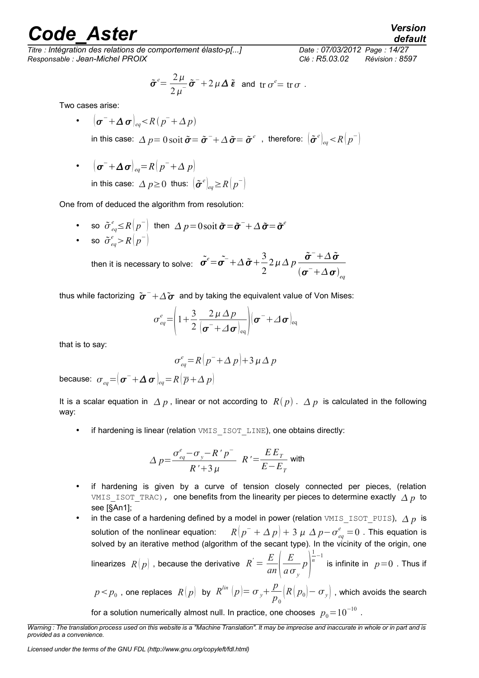*Titre : Intégration des relations de comportement élasto-p[...] Date : 07/03/2012 Page : 14/27 Responsable : Jean-Michel PROIX Clé : R5.03.02 Révision : 8597*

$$
\tilde{\boldsymbol{\sigma}}^e = \frac{2\,\mu}{2\,\mu} \tilde{\boldsymbol{\sigma}}^- + 2\,\mu\,\Delta\,\tilde{\boldsymbol{\epsilon}} \text{ and tr }\sigma^e = \text{tr }\sigma.
$$

Two cases arise:

- $\left(\boldsymbol{\sigma}^{-}+\boldsymbol{\Delta}\,\boldsymbol{\sigma}\right)_{eq} < R\left(p^{-}+\boldsymbol{\Delta}\,p\right)$ in this case:  $\varDelta~p=0$  soit  $\tilde{\bm{\sigma}}{=}\tilde{\bm{\sigma}}^-{+}\varDelta\,\tilde{\bm{\sigma}}{=}\tilde{\bm{\sigma}}^e\;$  , therefore:  $\left.\left(\tilde{\bm{\sigma}}^e\right)_{eq}{<}R\bigl(p^-\bigr)\right\rangle$
- $(\boldsymbol{\sigma}^{-}+\boldsymbol{\Delta}\boldsymbol{\sigma})_{eq}=R(p^{-}+\boldsymbol{\Delta} p)$ in this case:  $\varDelta$   $p$ ≥0 thus:  $\left[\tilde{\boldsymbol{\sigma}}^{e}\right]_{eq}$ ≥ $R\bigl(p^{-}\bigr)$

One from of deduced the algorithm from resolution:

• so  $\tilde{\sigma}^e_{eq} \leq R(p^-)$  then  $\Delta p = 0$  soit  $\tilde{\sigma} = \tilde{\sigma}^- + \Delta \tilde{\sigma} = \tilde{\sigma}^e$ • so  $\tilde{\sigma}_{eq}^{e} > R(p^{-})$ 

then it is necessary to solve:  $\tilde{\sigma}^e = \tilde{\sigma^-} + \Delta \, \tilde{\sigma} + \frac{3}{2}$ 2  $2 \mu \Delta p \frac{\tilde{\sigma}^{-} + \Delta \tilde{\sigma}}{2}$  $(\boldsymbol{\sigma}^+ \!+\! \Delta\,\boldsymbol{\sigma})_{_{eq}}$ 

thus while factorizing  $[{\tilde\sigma}^-{+}\varDelta {\tilde\sigma}^-$  and by taking the equivalent value of Von Mises:

$$
\sigma_{eq}^{e} = \left(1 + \frac{3}{2} \frac{2 \mu \Delta p}{\left(\boldsymbol{\sigma}^{-} + \Delta \boldsymbol{\sigma}\right)_{eq}}\right) \left(\boldsymbol{\sigma}^{-} + \Delta \boldsymbol{\sigma}\right)_{eq}
$$

that is to say:

$$
\sigma_{eq}^e = R\left(p^- + \Delta p\right) + 3 \mu \Delta p
$$

because:  $\sigma_{_{eq}}{=}{\left| \boldsymbol{\sigma}^{-} {+} \boldsymbol{\Delta} \, \boldsymbol{\sigma} \right|_{^{eq}}}{=}\textit{R}\!\left({\overline{\textit{p}}{+} \boldsymbol{\Delta}\, \textit{p}}\right)$ 

It is a scalar equation in  $\Delta p$ , linear or not according to  $R(p)$ .  $\Delta p$  is calculated in the following way:

if hardening is linear (relation VMIS ISOT LINE), one obtains directly:

$$
\Delta p = \frac{\sigma_{eq}^e - \sigma_y - R'p^-}{R' + 3\mu} \quad R' = \frac{EE_T}{E - E_T}
$$
 with

- if hardening is given by a curve of tension closely connected per pieces, (relation VMIS ISOT TRAC), one benefits from the linearity per pieces to determine exactly  $\Delta p$  to see [§An1];
- in the case of a hardening defined by a model in power (relation VMIS\_ISOT\_PUIS),  $\Delta p$  is solution of the nonlinear equation:  $\left[1+\Delta\,p\right]+3\;\mu\;\Delta\,p\!-\!\sigma_{eq}^{e}\!=\!0$  . This equation is solved by an iterative method (algorithm of the secant type). In the vicinity of the origin, one linearizes  $R(p)$  , because the derivative  $R^{'} = \frac{E}{p}$ *an E*  $\left(\frac{L}{a\sigma_y}p\right)^n$ 1  $\frac{1}{n}$ <sup>−1</sup> is infinite in  $p=0$  . Thus if

 $p < p_0$  , one replaces  $R(p)$  by  $R^{\text{lin}}(p) = \sigma_y + \frac{p}{p}$ *p*0  $\left|R\right(p_{\scriptscriptstyle 0})-\sigma_{\scriptscriptstyle y}\right]$  , which avoids the search for a solution numerically almost null. In practice, one chooses  $\ p_{0}^{}\!=\!10^{-10}$  .

*default*

*Warning : The translation process used on this website is a "Machine Translation". It may be imprecise and inaccurate in whole or in part and is provided as a convenience.*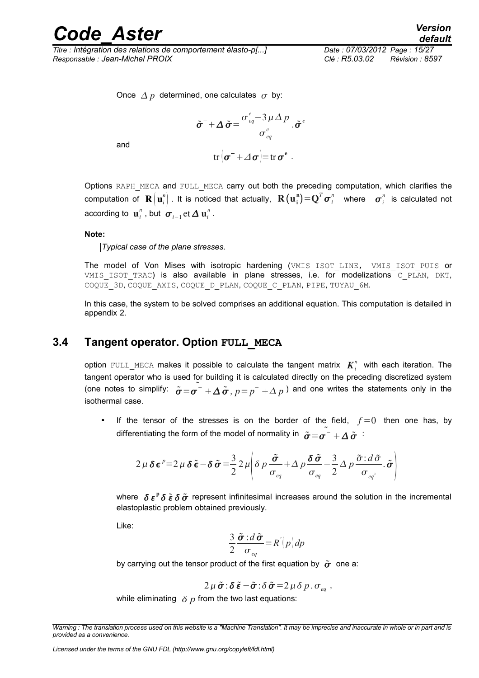*Titre : Intégration des relations de comportement élasto-p[...] Date : 07/03/2012 Page : 15/27 Responsable : Jean-Michel PROIX Clé : R5.03.02 Révision : 8597*

Once  $\Delta p$  determined, one calculates  $\sigma$  by:

$$
\tilde{\boldsymbol{\sigma}}^{-} + \Delta \tilde{\boldsymbol{\sigma}} = \frac{\sigma_{eq}^{e} - 3 \mu \Delta p}{\sigma_{eq}^{e}} \cdot \tilde{\boldsymbol{\sigma}}^{e}
$$
  
tr
$$
|\boldsymbol{\sigma}^{-} + \Delta \boldsymbol{\sigma}| = \text{tr} \, \boldsymbol{\sigma}^{e}.
$$

and

Options RAPH\_MECA and FULL\_MECA carry out both the preceding computation, which clarifies the computation of  $\mathbf{R}\big(\mathbf{u}_i^n\big)$  . It is noticed that actually,  $\mathbf{R}\big(\mathbf{u_i^n}\big){=}\mathbf{Q}^T\bm{\sigma}_i^n$  where  $\bm{\sigma}_i^n$  is calculated not according to  $\mathbf{u}_{i}^{n}$  , but  $\boldsymbol{\sigma}_{i-1}$ et  $\boldsymbol{\Delta} \mathbf{u}_{i}^{n}$  .

#### **Note:**

*Typical case of the plane stresses.*

The model of Von Mises with isotropic hardening (VMIS ISOT LINE, VMIS ISOT PUIS or VMIS ISOT TRAC) is also available in plane stresses, i.e. for modelizations C\_PLAN, DKT, COQUE\_3D, COQUE\_AXIS, COQUE\_D\_PLAN, COQUE\_C\_PLAN, PIPE, TUYAU\_6M.

In this case, the system to be solved comprises an additional equation. This computation is detailed in appendix 2.

#### **3.4 Tangent operator. Option FULL\_MECA**

<span id="page-14-0"></span>option  $\texttt{Full\_MECA}$  makes it possible to calculate the tangent matrix  $\boldsymbol{K}_i^n$  with each iteration. The tangent operator who is used for building it is calculated directly on the preceding discretized system (one notes to simplify:  $\tilde{\sigma} = \tilde{\sigma^{-}} + \Delta \tilde{\sigma}$ ,  $p = p^- + \Delta p$ ) and one writes the statements only in the isothermal case.

If the tensor of the stresses is on the border of the field,  $f=0$  then one has, by differentiating the form of the model of normality in  $\stackrel{\sim}{\bm{\tilde{\sigma}}}=\stackrel{\sim}{\bm{\sigma}^-}+\Delta\,\tilde{\bm{\sigma}}^{-1}$ 

$$
2\mu\delta\epsilon^{p}=2\mu\delta\tilde{\epsilon}-\delta\tilde{\sigma}=\frac{3}{2}2\mu\left(\delta p\frac{\tilde{\sigma}}{\sigma_{eq}}+\Delta p\frac{\delta\tilde{\sigma}}{\sigma_{eq}}-\frac{3}{2}\Delta p\frac{\tilde{\sigma}:\,d\tilde{\sigma}}{\sigma_{eq}.\,\tilde{\sigma}}.\,\tilde{\sigma}\right)
$$

where  $\delta \varepsilon^p \delta \tilde \varepsilon \delta \tilde \sigma$  represent infinitesimal increases around the solution in the incremental elastoplastic problem obtained previously.

Like:

$$
\frac{3}{2}\frac{\tilde{\boldsymbol{\sigma}}:d\tilde{\boldsymbol{\sigma}}}{\sigma_{eq}}=R'[p]dp
$$

by carrying out the tensor product of the first equation by  $\tilde{\sigma}$  one a:

$$
2\,\mu\,\tilde{\boldsymbol{\sigma}}\!:\!\boldsymbol{\delta}\,\tilde{\boldsymbol{\varepsilon}}-\tilde{\boldsymbol{\sigma}}\!:\!\boldsymbol{\delta}\,\tilde{\boldsymbol{\sigma}}\!=\!2\,\mu\,\boldsymbol{\delta}\,p\,.\,\sigma_{_{eq}}\,,
$$

while eliminating  $\delta p$  from the two last equations:

*Licensed under the terms of the GNU FDL (http://www.gnu.org/copyleft/fdl.html)*

*Warning : The translation process used on this website is a "Machine Translation". It may be imprecise and inaccurate in whole or in part and is provided as a convenience.*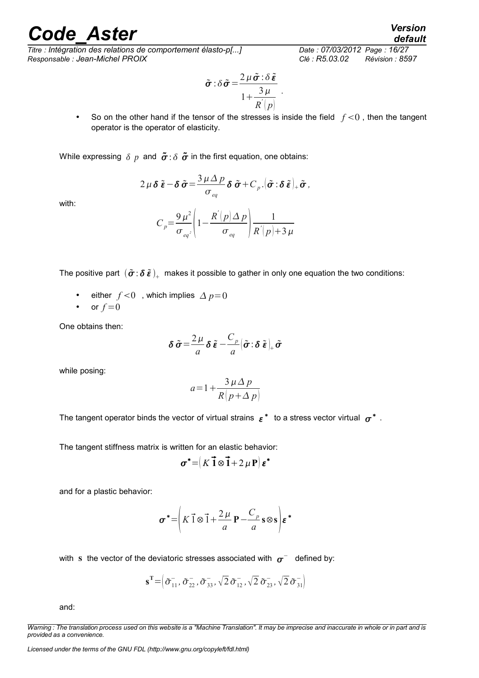*Titre : Intégration des relations de comportement élasto-p[...] Date : 07/03/2012 Page : 16/27 Responsable : Jean-Michel PROIX Clé : R5.03.02 Révision : 8597*

$$
\tilde{\boldsymbol{\sigma}} : \delta \tilde{\boldsymbol{\sigma}} = \frac{2 \mu \tilde{\boldsymbol{\sigma}} : \delta \tilde{\boldsymbol{\varepsilon}}}{1 + \frac{3 \mu}{R^{'}(p)}}.
$$

• So on the other hand if the tensor of the stresses is inside the field  $f < 0$ , then the tangent operator is the operator of elasticity.

While expressing  $\delta p$  and  $\tilde{\sigma}$ :  $\delta \tilde{\sigma}$  in the first equation, one obtains:

$$
2\,\mu\,\boldsymbol{\delta}\,\tilde{\boldsymbol{\varepsilon}}-\boldsymbol{\delta}\,\tilde{\boldsymbol{\sigma}}=\frac{3\,\mu\,\Delta\,p}{\sigma_{eq}}\,\boldsymbol{\delta}\,\tilde{\boldsymbol{\sigma}}+C_p.\big|\tilde{\boldsymbol{\sigma}}:\boldsymbol{\delta}\,\tilde{\boldsymbol{\varepsilon}}\big|_{+}\tilde{\boldsymbol{\sigma}},
$$

with:

$$
C_p = \frac{9\,\mu^2}{\sigma_{eq^2}} \left( 1 - \frac{R\left(p\right)\Delta\,p}{\sigma_{eq}} \right) \frac{1}{R\left(p\right) + 3\,\mu}
$$

The positive part  $\,(\tilde\sigma\!:\!\delta\,\tilde\epsilon\,)_+ \,$  makes it possible to gather in only one equation the two conditions:

- either  $f < 0$ , which implies  $\Delta p = 0$
- or  $f=0$

One obtains then:

$$
\delta \tilde{\sigma} = \frac{2\,\mu}{a} \delta \tilde{\boldsymbol{\varepsilon}} - \frac{C_p}{a} \big( \tilde{\boldsymbol{\sigma}} \cdot \delta \tilde{\boldsymbol{\varepsilon}} \big)_{+} \tilde{\boldsymbol{\sigma}}
$$

while posing:

$$
a = 1 + \frac{3 \mu \Delta p}{R \left( p + \Delta p \right)}
$$

The tangent operator binds the vector of virtual strains  $\,\varepsilon^{\,\ast}\,$  to a stress vector virtual  $\,\sigma^{\,\ast}\,$  .

The tangent stiffness matrix is written for an elastic behavior:

$$
\boldsymbol{\sigma}^* = (K \vec{1} \otimes \vec{1} + 2 \mu \mathbf{P}) \boldsymbol{\varepsilon}^*
$$

and for a plastic behavior:

$$
\boldsymbol{\sigma}^* = \left(K \vec{1} \otimes \vec{1} + \frac{2\mu}{a} \mathbf{P} - \frac{C_p}{a} \mathbf{s} \otimes \mathbf{s}\right) \boldsymbol{\varepsilon}^*
$$

with s the vector of the deviatoric stresses associated with  $\sigma^-$  defined by:

$$
\mathbf{s}^{\mathrm{T}} = \left( \tilde{\sigma}_{11}^{-}, \tilde{\sigma}_{22}^{-}, \tilde{\sigma}_{33}^{-}, \sqrt{2} \tilde{\sigma}_{12}^{-}, \sqrt{2} \tilde{\sigma}_{23}^{-}, \sqrt{2} \tilde{\sigma}_{31}^{-} \right)
$$

and:

*Warning : The translation process used on this website is a "Machine Translation". It may be imprecise and inaccurate in whole or in part and is provided as a convenience.*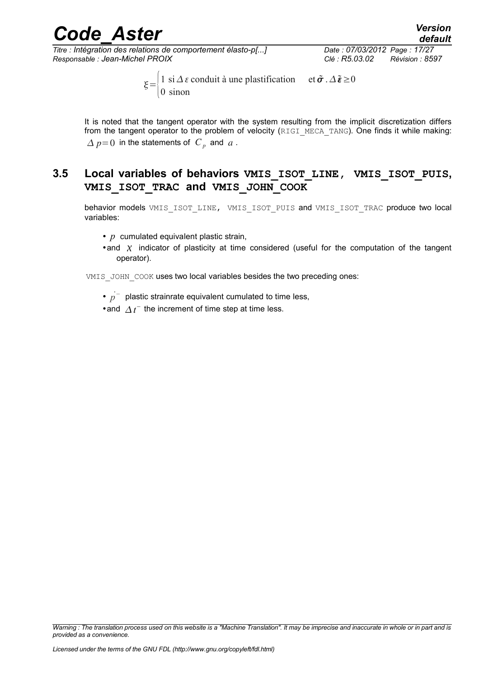*Titre : Intégration des relations de comportement élasto-p[...] Date : 07/03/2012 Page : 17/27 Responsable : Jean-Michel PROIX Clé : R5.03.02 Révision : 8597*

 $\xi = \begin{cases} 1 & \text{si } \Delta \, \varepsilon \text{ condition} \\ 0 & \text{si non} \end{cases}$  et  $\tilde{\sigma}$ .  $\Delta \tilde{\varepsilon} \ge 0$ 0 sinon

It is noted that the tangent operator with the system resulting from the implicit discretization differs from the tangent operator to the problem of velocity (RIGI\_MECA\_TANG). One finds it while making:  $\varDelta$   $p$  = 0 in the statements of  $\mathcal{C}_p$  and  $\mathcal{C}_q$ .

#### <span id="page-16-0"></span>**3.5 Local variables of behaviors VMIS\_ISOT\_LINE, VMIS\_ISOT\_PUIS, VMIS\_ISOT\_TRAC and VMIS\_JOHN\_COOK**

behavior models VMIS\_ISOT\_LINE, VMIS\_ISOT\_PUIS and VMIS\_ISOT\_TRAC produce two local variables:

- *p* cumulated equivalent plastic strain,
- •and  $\chi$  indicator of plasticity at time considered (useful for the computation of the tangent operator).

VMIS JOHN COOK uses two local variables besides the two preceding ones:

- $p^{-}$  plastic strainrate equivalent cumulated to time less,
- and  $\Delta t$ <sup>-</sup> the increment of time step at time less.

*Warning : The translation process used on this website is a "Machine Translation". It may be imprecise and inaccurate in whole or in part and is provided as a convenience.*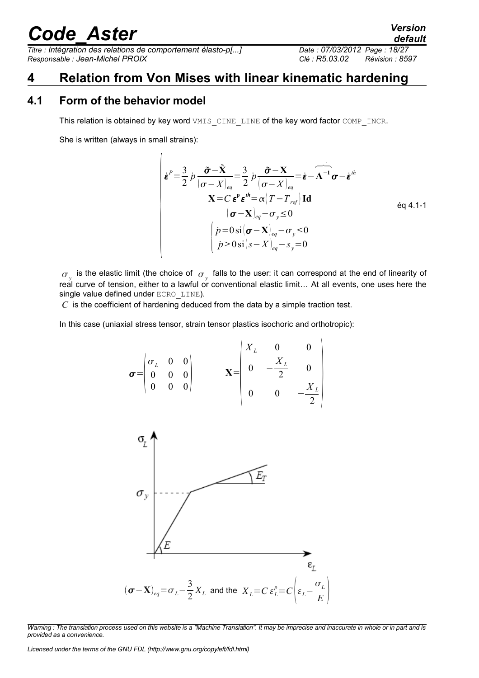*Titre : Intégration des relations de comportement élasto-p[...] Date : 07/03/2012 Page : 18/27 Responsable : Jean-Michel PROIX Clé : R5.03.02 Révision : 8597*

### <span id="page-17-1"></span>**4 Relation from Von Mises with linear kinematic hardening**

#### **4.1 Form of the behavior model**

<span id="page-17-0"></span>This relation is obtained by key word VMIS CINE LINE of the key word factor COMP INCR.

She is written (always in small strains):

 $\overline{1}$ 

$$
\begin{aligned}\n\left| \boldsymbol{\varepsilon}^{P} = \frac{3}{2} \, \dot{p} \, \frac{\tilde{\boldsymbol{\sigma}} - \tilde{\mathbf{X}}}{(\boldsymbol{\sigma} - X)_{eq}} = \frac{3}{2} \, \dot{p} \, \frac{\tilde{\boldsymbol{\sigma}} - \mathbf{X}}{(\boldsymbol{\sigma} - X)_{eq}} = \dot{\boldsymbol{\varepsilon}} - \mathbf{A}^{-1} \, \boldsymbol{\sigma} - \dot{\boldsymbol{\varepsilon}}^{th} \\
\mathbf{X} = C \, \boldsymbol{\varepsilon}^{P} \, \boldsymbol{\varepsilon}^{th} = \alpha \, (T - T_{ref}) \, \mathbf{Id} \\
(\boldsymbol{\sigma} - \mathbf{X})_{eq} - \sigma_{y} \le 0 \\
\left| \dot{p} = 0 \, \text{si} \, (\boldsymbol{\sigma} - \mathbf{X})_{eq} - \sigma_{y} \le 0 \\
\dot{p} \ge 0 \, \text{si} \, (s - X)_{eq} - s_{y} = 0\n\end{aligned}\right.
$$

 $\sigma_{y}^{\vphantom{\dagger}}$  is the elastic limit (the choice of  $\sigma_{y}^{\vphantom{\dagger}}$  falls to the user: it can correspond at the end of linearity of real curve of tension, either to a lawful or conventional elastic limit… At all events, one uses here the single value defined under ECRO LINE).

*C* is the coefficient of hardening deduced from the data by a simple traction test.

In this case (uniaxial stress tensor, strain tensor plastics isochoric and orthotropic):

$$
\boldsymbol{\sigma} = \begin{pmatrix} \sigma_L & 0 & 0 \\ 0 & 0 & 0 \\ 0 & 0 & 0 \end{pmatrix} \qquad \mathbf{X} = \begin{pmatrix} X_L & 0 & 0 \\ 0 & -\frac{X_L}{2} & 0 \\ 0 & 0 & -\frac{X_L}{2} \end{pmatrix}
$$



*Warning : The translation process used on this website is a "Machine Translation". It may be imprecise and inaccurate in whole or in part and is provided as a convenience.*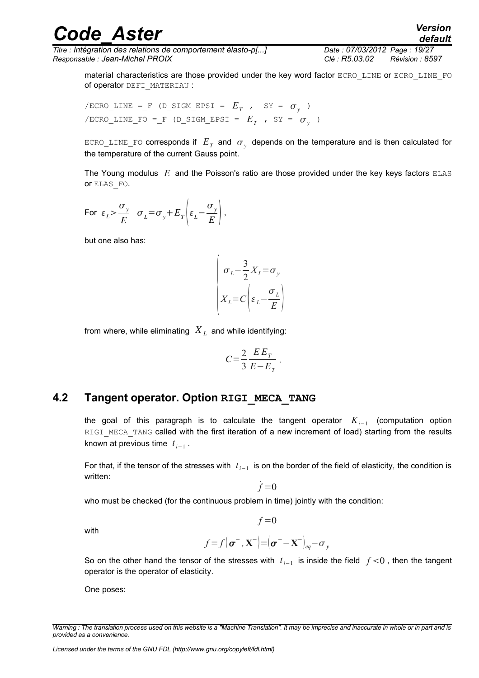*Titre : Intégration des relations de comportement élasto-p[...] Date : 07/03/2012 Page : 19/27 Responsable : Jean-Michel PROIX Clé : R5.03.02 Révision : 8597*

*default*

material characteristics are those provided under the key word factor ECRO\_LINE or ECRO\_LINE\_FO of operator DEFI\_MATERIAU :

 $\ell$  /ECRO\_LINE =\_F (D\_SIGM\_EPSI =  $E_T$  , SY =  $\sigma_y$  )  $\sqrt{\text{ECRO}}$ LINE\_FO = F (D\_SIGM\_EPSI =  $E_T$  , SY =  $\sigma_y$  )

 $\texttt{ECRO\_LINE\_FO}$  corresponds if  $|E^{}_T|$  and  $|\sigma_{_{{\cal Y}}}$  depends on the temperature and is then calculated for the temperature of the current Gauss point.

The Young modulus *E* and the Poisson's ratio are those provided under the key keys factors ELAS or ELAS\_FO.

For 
$$
\varepsilon_L > \frac{\sigma_y}{E}
$$
  $\sigma_L = \sigma_y + E_T \left( \varepsilon_L - \frac{\sigma_y}{E} \right)$ ,

but one also has:

$$
\begin{pmatrix}\n\sigma_L - \frac{3}{2} X_L = \sigma_y \\
X_L = C \left( \varepsilon_L - \frac{\sigma_L}{E} \right)\n\end{pmatrix}
$$

from where, while eliminating *X <sup>L</sup>* and while identifying:

$$
C = \frac{2}{3} \frac{E E_T}{E - E_T}.
$$

#### **4.2 Tangent operator. Option RIGI\_MECA\_TANG**

<span id="page-18-0"></span>the goal of this paragraph is to calculate the tangent operator *Ki*−<sup>1</sup> (computation option RIGI MECA TANG called with the first iteration of a new increment of load) starting from the results known at previous time  $t_{i-1}$  .

For that, if the tensor of the stresses with  $|t_{i-1}|$  is on the border of the field of elasticity, the condition is written:

 $\dot{f} = 0$ 

who must be checked (for the continuous problem in time) jointly with the condition:

with

$$
f = f\left(\boldsymbol{\sigma}^{-}, \mathbf{X}^{-}\right) = \left(\boldsymbol{\sigma}^{-} - \mathbf{X}^{-}\right)_{eq} - \sigma_{y}
$$

 $f = 0$ 

So on the other hand the tensor of the stresses with  $t_{i-1}$  is inside the field  $f$  <0, then the tangent operator is the operator of elasticity.

One poses:

*Warning : The translation process used on this website is a "Machine Translation". It may be imprecise and inaccurate in whole or in part and is provided as a convenience.*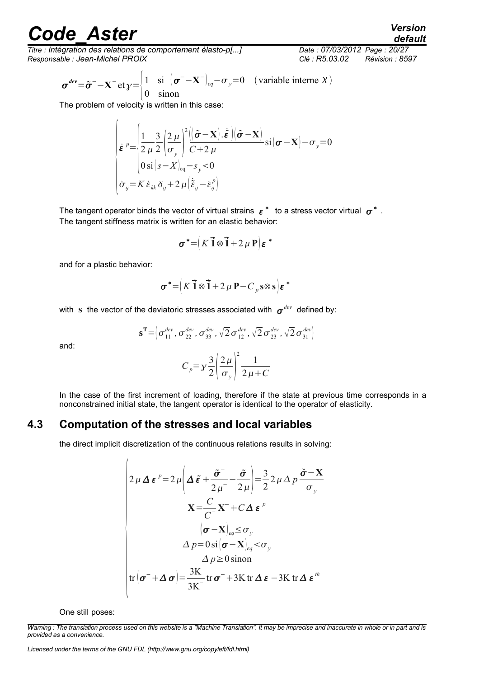*Titre : Intégration des relations de comportement élasto-p[...] Date : 07/03/2012 Page : 20/27 Responsable : Jean-Michel PROIX Clé : R5.03.02 Révision : 8597*

$$
\boldsymbol{\sigma}^{dev} = \tilde{\boldsymbol{\sigma}}^{-} - \mathbf{X}^{-} \operatorname{et} \mathbf{y} = \begin{cases} 1 & \text{si } (\boldsymbol{\sigma}^{-} - \mathbf{X}^{-})_{eq} - \sigma_{y} = 0 & (\text{variable interne } X) \\ 0 & \text{sinon} \end{cases}
$$

The problem of velocity is written in this case:

 $\overline{1}$ 

$$
\begin{cases}\n\dot{\boldsymbol{\varepsilon}}^{p} = \left\{\frac{1}{2\mu} \frac{3}{2} \left(\frac{2\mu}{\sigma_{y}}\right)^{2} \left(\frac{\tilde{\boldsymbol{\sigma}} - \mathbf{X}}{C + 2\mu} \cdot \hat{\boldsymbol{\varepsilon}}\right) (\tilde{\boldsymbol{\sigma}} - \mathbf{X})}{0 \sin(s - X)_{eq} - s_{y} < 0 \\
\dot{\sigma}_{ij} = K \dot{\boldsymbol{\varepsilon}}_{kk} \delta_{ij} + 2\mu \left(\dot{\tilde{\boldsymbol{\varepsilon}}}_{ij} - \dot{\boldsymbol{\varepsilon}}_{ij}^{p}\right)\n\end{cases}
$$

The tangent operator binds the vector of virtual strains  $\,\varepsilon^{\,\ast}\,$  to a stress vector virtual  $\,\sigma^{\ast}$  . The tangent stiffness matrix is written for an elastic behavior:

$$
\boldsymbol{\sigma}^* = (K \vec{1} \otimes \vec{1} + 2 \mu \mathbf{P}) \boldsymbol{\varepsilon}^*
$$

and for a plastic behavior:

$$
\boldsymbol{\sigma}^* = \left(K \vec{1} \otimes \vec{1} + 2 \mu \mathbf{P} - C_p \mathbf{s} \otimes \mathbf{s}\right) \boldsymbol{\varepsilon}^*
$$

with  $\, {\bf s} \,$  the vector of the deviatoric stresses associated with  $\, {\bm \sigma}^{dev} \,$  defined by:

$$
\mathbf{s}^{\mathrm{T}} = \left( \sigma_{11}^{\text{dev}}, \sigma_{22}^{\text{dev}}, \sigma_{33}^{\text{dev}}, \sqrt{2} \,\sigma_{12}^{\text{dev}}, \sqrt{2} \,\sigma_{23}^{\text{dev}}, \sqrt{2} \,\sigma_{31}^{\text{dev}} \right)
$$

and:

$$
C_p = \gamma \frac{3}{2} \left( \frac{2\mu}{\sigma_y} \right)^2 \frac{1}{2\mu + C}
$$

In the case of the first increment of loading, therefore if the state at previous time corresponds in a nonconstrained initial state, the tangent operator is identical to the operator of elasticity.

#### **4.3 Computation of the stresses and local variables**

<span id="page-19-0"></span>the direct implicit discretization of the continuous relations results in solving:

$$
\begin{pmatrix}\n2\mu \Delta \boldsymbol{\varepsilon}^{p} = 2\mu \left( \Delta \tilde{\boldsymbol{\varepsilon}} + \frac{\tilde{\sigma}^{-}}{2\mu} - \frac{\tilde{\sigma}}{2\mu} \right) = \frac{3}{2} 2\mu \Delta p \frac{\tilde{\sigma} - \mathbf{X}}{\sigma_{y}} \\
\mathbf{X} = \frac{C}{C^{-}} \mathbf{X}^{-} + C \Delta \boldsymbol{\varepsilon}^{p} \\
\sigma - \mathbf{X}_{eq} \leq \sigma_{y} \\
\Delta p = 0 \sin \left( \sigma - \mathbf{X} \right)_{eq} < \sigma_{y} \\
\Delta p \geq 0 \sin \sigma\n\end{pmatrix}
$$
tr
$$
\left( \sigma^{-} + \Delta \sigma \right) = \frac{3\mathbf{K}}{3\mathbf{K}^{-}} \text{tr} \sigma^{-} + 3\mathbf{K} \text{tr} \Delta \boldsymbol{\varepsilon} - 3\mathbf{K} \text{tr} \Delta \boldsymbol{\varepsilon}^{th}
$$

One still poses:

*Warning : The translation process used on this website is a "Machine Translation". It may be imprecise and inaccurate in whole or in part and is provided as a convenience.*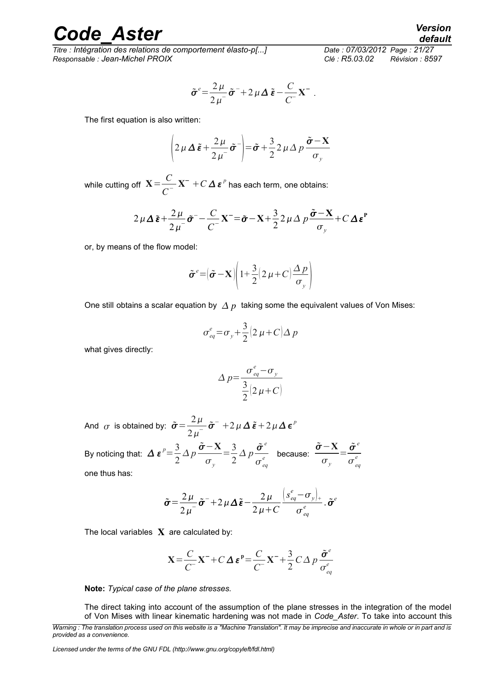*Titre : Intégration des relations de comportement élasto-p[...] Date : 07/03/2012 Page : 21/27 Responsable : Jean-Michel PROIX Clé : R5.03.02 Révision : 8597*

$$
\tilde{\sigma}^e = \frac{2\,\mu}{2\,\mu} \tilde{\sigma}^- + 2\,\mu\,\Delta\,\tilde{\epsilon} - \frac{C}{C} \,\mathbf{X}^-.
$$

The first equation is also written:

$$
\left(2\,\mu\,\Delta\,\tilde{\boldsymbol{\varepsilon}}+\frac{2\,\mu}{2\,\mu^{-}}\tilde{\boldsymbol{\sigma}}^{-}\right)=\tilde{\boldsymbol{\sigma}}+\frac{3}{2}\,2\,\mu\,\Delta\,p\,\frac{\tilde{\boldsymbol{\sigma}}-\mathbf{X}}{\sigma_{y}}
$$

while cutting off  $X = \frac{C}{\sigma^2}$  $\frac{C}{C^-}$ **X**<sup> $-$ </sup> + *C*  $\Delta$   $\epsilon$ <sup>*p*</sup> has each term, one obtains:

$$
2\mu\Delta\tilde{\boldsymbol{\varepsilon}} + \frac{2\mu}{2\mu} \tilde{\boldsymbol{\sigma}}^{\text{}} - \frac{C}{C} \mathbf{X}^{\text{}} = \tilde{\boldsymbol{\sigma}} - \mathbf{X} + \frac{3}{2} 2\mu\Delta p \frac{\tilde{\boldsymbol{\sigma}} - \mathbf{X}}{\sigma_y} + C\Delta \boldsymbol{\varepsilon}^{\text{P}}
$$

or, by means of the flow model:

$$
\tilde{\boldsymbol{\sigma}}^e = (\tilde{\boldsymbol{\sigma}} - \mathbf{X}) \bigg( 1 + \frac{3}{2} (2 \mu + C) \frac{\Delta p}{\sigma_y} \bigg)
$$

One still obtains a scalar equation by  $\Delta p$  taking some the equivalent values of Von Mises:

$$
\sigma_{eq}^e = \sigma_y + \frac{3}{2} \left( 2 \mu + C \right) \Delta p
$$

what gives directly:

$$
\Delta p = \frac{\sigma_{eq}^e - \sigma_y}{\frac{3}{2}(2\mu + C)}
$$

And  $\sigma$  is obtained by:  $\tilde{\sigma} = \frac{2 \mu}{2 \pi}$  $\frac{2\mu}{2\mu^{-}}\tilde{\boldsymbol{\sigma}}^{-}$  +2  $\mu\Delta\tilde{\boldsymbol{\varepsilon}}$  + 2  $\mu\Delta\boldsymbol{\varepsilon}^{p}$ 

By noticing that:  $\Delta \varepsilon^p = \frac{3}{2}$ 2 *Δp*  $\tilde{\boldsymbol{\sigma}}$  – **X**  $\sigma_{y}$  $=\frac{3}{2}$ 2  $\Delta p \frac{\tilde{\sigma}^e}{\tilde{\sigma}^e}$  $\overline{\sigma_{eq}^e}$  because:  $\tilde{\sigma}$  – **X**  $\sigma_{y}$  $=\frac{\tilde{\sigma}^e}{\sigma}$  $\sigma_{_{eq}}^{^{e}}$ *e* one thus has:

$$
\tilde{\boldsymbol{\sigma}} = \frac{2\,\mu}{2\,\mu^{-}}\tilde{\boldsymbol{\sigma}}^{-} + 2\,\mu\,\Delta\,\tilde{\boldsymbol{\epsilon}} - \frac{2\,\mu}{2\,\mu + C}\frac{\left(s_{eq}^e - \sigma_y\right)_+}{\sigma_{eq}^e} \cdot \tilde{\boldsymbol{\sigma}}^e
$$

The local variables  $X$  are calculated by:

$$
\mathbf{X} = \frac{C}{C} \mathbf{X}^- + C \Delta \boldsymbol{\varepsilon}^{\text{p}} = \frac{C}{C} \mathbf{X}^- + \frac{3}{2} C \Delta p \frac{\tilde{\sigma}^e}{\sigma_{eq}^e}
$$

**Note:** *Typical case of the plane stresses.*

The direct taking into account of the assumption of the plane stresses in the integration of the model of Von Mises with linear kinematic hardening was not made in *Code\_Aster*. To take into account this

*Licensed under the terms of the GNU FDL (http://www.gnu.org/copyleft/fdl.html)*

*Warning : The translation process used on this website is a "Machine Translation". It may be imprecise and inaccurate in whole or in part and is provided as a convenience.*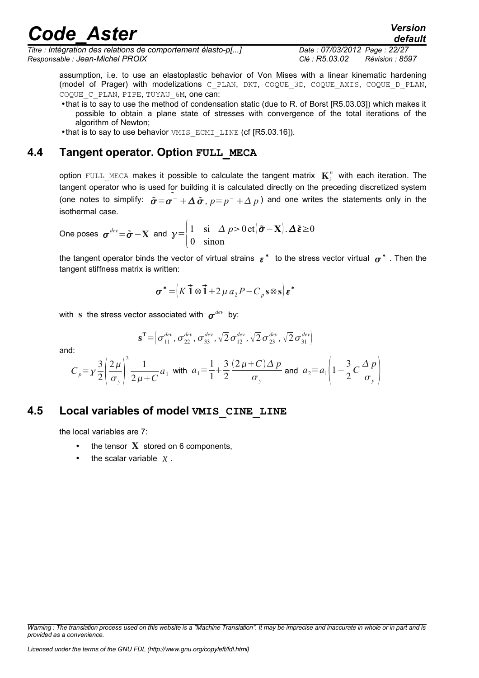*Titre : Intégration des relations de comportement élasto-p[...] Date : 07/03/2012 Page : 22/27 Responsable : Jean-Michel PROIX Clé : R5.03.02 Révision : 8597*

assumption, i.e. to use an elastoplastic behavior of Von Mises with a linear kinematic hardening (model of Prager) with modelizations C\_PLAN, DKT, COQUE\_3D, COQUE\_AXIS, COQUE\_D\_PLAN, COQUE C PLAN, PIPE, TUYAU 6M, one can:

•that is to say to use the method of condensation static (due to R. of Borst [R5.03.03]) which makes it possible to obtain a plane state of stresses with convergence of the total iterations of the algorithm of Newton;

<span id="page-21-1"></span>•that is to say to use behavior VMIS ECMI LINE (cf [R5.03.16]).

#### **4.4 Tangent operator. Option FULL\_MECA**

option  $\texttt{Full\_MECA}$  makes it possible to calculate the tangent matrix  $\textbf{K}_i^n$  with each iteration. The tangent operator who is used for building it is calculated directly on the preceding discretized system (one notes to simplify:  $\tilde{\sigma} = \tilde{\sigma^{-}} + \Delta \tilde{\sigma}$ ,  $p = p^- + \Delta p$ ) and one writes the statements only in the isothermal case.

One poses 
$$
\sigma^{dev} = \tilde{\sigma} - \mathbf{X}
$$
 and  $\gamma = \begin{vmatrix} 1 & \sin \Delta p > 0 \text{ et } (\tilde{\sigma} - \mathbf{X}) \cdot \Delta \tilde{\epsilon} \ge 0 \\ 0 & \sin \alpha \end{vmatrix}$ 

the tangent operator binds the vector of virtual strains  $\,\varepsilon^*\,$  to the stress vector virtual  $\,\sigma^*\,$  . Then the tangent stiffness matrix is written:

$$
\boldsymbol{\sigma}^* = \left(K \vec{1} \otimes \vec{1} + 2 \mu a_2 P - C_p s \otimes s\right) \boldsymbol{\varepsilon}^*
$$

with  $\, {\bf s} \,$  the stress vector associated with  $\, {\bm \sigma}^{dev} \,$  by:

and:

d: 
$$
C_p = y \frac{3}{2} \left( \frac{2\mu}{\sigma_y} \right)^2 \frac{1}{2\mu + C} a_1
$$
 with  $a_1 = \frac{1}{1} + \frac{3}{2} \frac{(2\mu + C)\Delta p}{\sigma_y}$  and  $a_2 = a_1 \left( 1 + \frac{3}{2} C \frac{\Delta p}{\sigma_y} \right)$ 

 $\mathbf{s^T} \!=\!\!\left(\sigma_{11}^{dev},\sigma_{22}^{dev},\sigma_{33}^{dev},\sqrt{2}\,\sigma_{12}^{dev},\sqrt{2}\,\sigma_{23}^{dev},\sqrt{2}\,\sigma_{31}^{dev}\right)$ 

#### **4.5 Local variables of model VMIS\_CINE\_LINE**

<span id="page-21-0"></span>the local variables are 7:

- the tensor  $X$  stored on 6 components,
- the scalar variable  $\chi$ .

*Warning : The translation process used on this website is a "Machine Translation". It may be imprecise and inaccurate in whole or in part and is provided as a convenience.*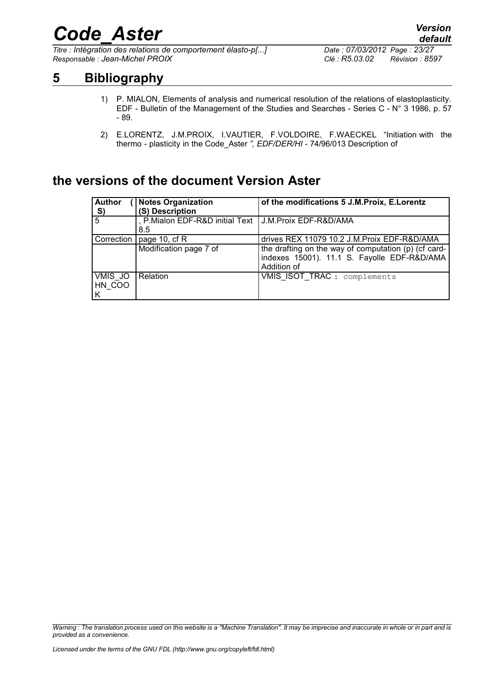*Titre : Intégration des relations de comportement élasto-p[...] Date : 07/03/2012 Page : 23/27 Responsable : Jean-Michel PROIX Clé : R5.03.02 Révision : 8597*

*default*

### **5 Bibliography**

- <span id="page-22-0"></span>1) P. MIALON, Elements of analysis and numerical resolution of the relations of elastoplasticity. EDF - Bulletin of the Management of the Studies and Searches - Series C - N° 3 1986, p. 57 - 89.
- 2) E.LORENTZ, J.M.PROIX, I.VAUTIER, F.VOLDOIRE, F.WAECKEL "Initiation with the thermo - plasticity in the Code\_Aster *", EDF/DER/HI* - 74/96/013 Description of

### **the versions of the document Version Aster**

| <b>Author</b><br>$\frac{S}{5}$ | <b>Notes Organization</b><br>(S) Description                   | of the modifications 5 J.M. Proix, E. Lorentz                                                                      |
|--------------------------------|----------------------------------------------------------------|--------------------------------------------------------------------------------------------------------------------|
|                                | , P.Mialon EDF-R&D initial Text   J.M.Proix EDF-R&D/AMA<br>8.5 |                                                                                                                    |
| Correction                     | page 10, cf R                                                  | drives REX 11079 10.2 J.M. Proix EDF-R&D/AMA                                                                       |
|                                | Modification page 7 of                                         | the drafting on the way of computation (p) (cf card-<br>indexes 15001). 11.1 S. Fayolle EDF-R&D/AMA<br>Addition of |
| VMIS JO<br>HN COO<br>l K       | <b>Relation</b>                                                | VMIS ISOT_TRAC : complements                                                                                       |

*Warning : The translation process used on this website is a "Machine Translation". It may be imprecise and inaccurate in whole or in part and is provided as a convenience.*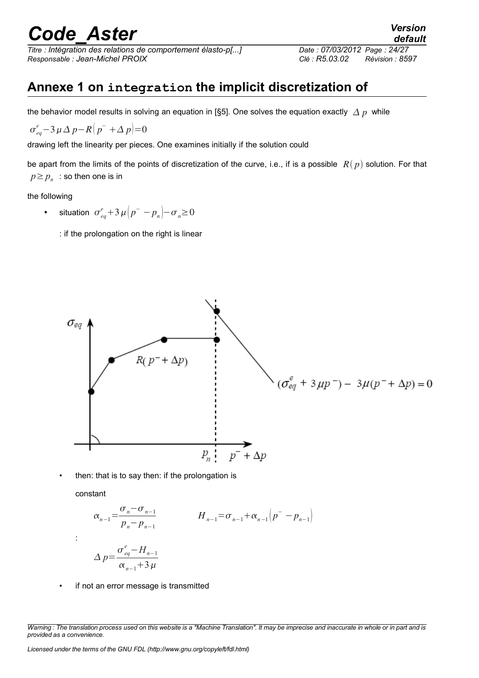*Titre : Intégration des relations de comportement élasto-p[...] Date : 07/03/2012 Page : 24/27 Responsable : Jean-Michel PROIX Clé : R5.03.02 Révision : 8597*

### <span id="page-23-0"></span>**Annexe 1 on integration the implicit discretization of**

the behavior model results in solving an equation in [§5]. One solves the equation exactly  $\Delta p$  while

$$
\sigma_{eq}^e - 3 \mu \Delta p - R \left( p^- + \Delta p \right) = 0
$$

drawing left the linearity per pieces. One examines initially if the solution could

be apart from the limits of the points of discretization of the curve, i.e., if is a possible  $R(p)$  solution. For that  $p \geq p_n$ : so then one is in

the following

- situation  $\sigma_{eq}^e + 3 \mu \left( p^- p_n \right) \sigma_n \ge 0$ 
	- : if the prolongation on the right is linear



• then: that is to say then: if the prolongation is

constant

:

$$
\alpha_{n-1} = \frac{\sigma_n - \sigma_{n-1}}{p_n - p_{n-1}} \qquad H_{n-1} = \sigma_{n-1} + \alpha_{n-1} (p^- - p_{n-1})
$$
  

$$
\Delta p = \frac{\sigma_{eq}^e - H_{n-1}}{\alpha_{n-1} + 3 \mu}
$$

• if not an error message is transmitted

*Warning : The translation process used on this website is a "Machine Translation". It may be imprecise and inaccurate in whole or in part and is provided as a convenience.*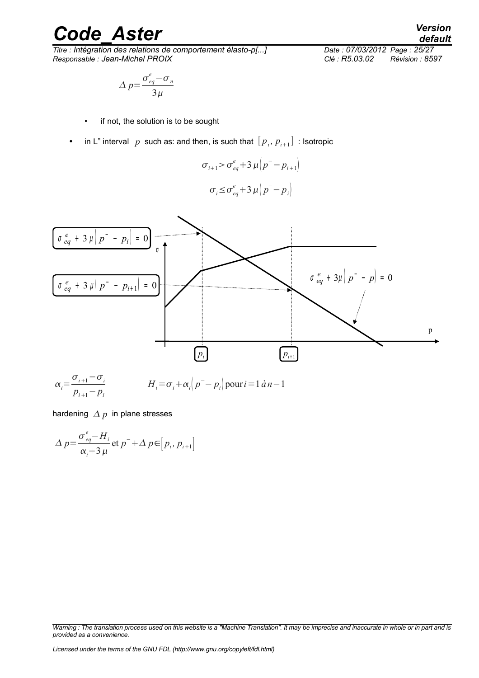# *Code\_Aster Version*<br>Titre : Intégration des relations de comportement élasto-p[...] Date : 07/03/2012 Page : 25/27

 $\overline{T}$ itre : *Intégration des relations de comportement élasto-p[...] Responsable : Jean-Michel PROIX Clé : R5.03.02 Révision : 8597*

$$
\Delta p = \frac{\sigma_{eq}^e - \sigma_n}{3\mu}
$$

- if not, the solution is to be sought
- in L" interval  $p$  such as: and then, is such that  $[p_i, p_{i+1}]$  : Isotropic

$$
\sigma_{i+1} > \sigma_{eq}^e + 3 \mu \left( p^- - p_{i+1} \right)
$$

$$
\sigma_i \leq \sigma_{eq}^e + 3 \mu \left( p^- - p_i \right)
$$



hardening  $\Delta p$  in plane stresses

$$
\Delta p = \frac{\sigma_{eq}^e - H_i}{\alpha_i + 3\,\mu} \text{ et } p^- + \Delta p \in [p_i, p_{i+1}]
$$

*Warning : The translation process used on this website is a "Machine Translation". It may be imprecise and inaccurate in whole or in part and is provided as a convenience.*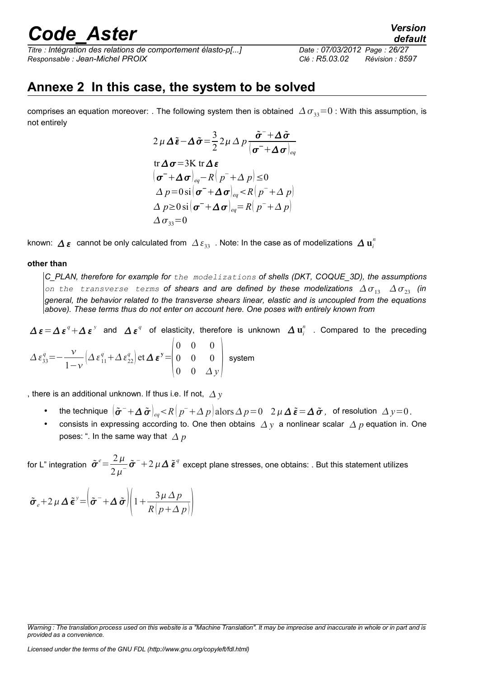*Titre : Intégration des relations de comportement élasto-p[...] Date : 07/03/2012 Page : 26/27 Responsable : Jean-Michel PROIX Clé : R5.03.02 Révision : 8597*

*default*

### <span id="page-25-0"></span>**Annexe 2 In this case, the system to be solved**

comprises an equation moreover: . The following system then is obtained  $\Delta \sigma_{33}=0$  : With this assumption, is not entirely

$$
2 \mu \Delta \tilde{\boldsymbol{\varepsilon}} - \Delta \tilde{\boldsymbol{\sigma}} = \frac{3}{2} 2 \mu \Delta p \frac{\tilde{\boldsymbol{\sigma}}^{-} + \Delta \tilde{\boldsymbol{\sigma}}}{|\boldsymbol{\sigma}^{-} + \Delta \boldsymbol{\sigma}|_{eq}}
$$
  
tr  $\Delta \boldsymbol{\sigma} = 3 \mathbf{K}$  tr  $\Delta \boldsymbol{\varepsilon}$   

$$
|\boldsymbol{\sigma}^{-} + \Delta \boldsymbol{\sigma}|_{eq} - R(p^+ + \Delta p) \le 0
$$
  

$$
\Delta p = 0 \text{ si } |\boldsymbol{\sigma}^{-} + \Delta \boldsymbol{\sigma}|_{eq} < R(p^+ + \Delta p)
$$
  

$$
\Delta p \ge 0 \text{ si } |\boldsymbol{\sigma}^{-} + \Delta \boldsymbol{\sigma}|_{eq} = R(p^+ + \Delta p)
$$
  

$$
\Delta \sigma_{33} = 0
$$

known:  $\varDelta$   $\bm{\varepsilon}$   $\,$  cannot be only calculated from  $\,\varDelta\,\varepsilon_{33}\,$  . Note: In the case as of modelizations  $\,\varDelta\,\mathbf{u}_i^n\,$ 

#### **other than**

*C\_PLAN, therefore for example for the modelizations of shells (DKT, COQUE\_3D), the assumptions on the transverse terms* of shears and are defined by these modelizations  $\Delta \sigma_{13}$   $\Delta \sigma_{23}$  (in *general, the behavior related to the transverse shears linear, elastic and is uncoupled from the equations above). These terms thus do not enter on account here. One poses with entirely known from*

 $\Delta\,\bm{\varepsilon}=\Delta\,\bm{\varepsilon}^{\,q}+\Delta\,\bm{\varepsilon}^{\,y}$  and  $\Delta\,\bm{\varepsilon}^{\,q}$  of elasticity, therefore is unknown  $\Delta\,\mathbf{u}^n_i$  . Compared to the preceding

$$
\Delta \varepsilon_{33}^q = -\frac{\nu}{1-\nu} \Big( \Delta \varepsilon_{11}^q + \Delta \varepsilon_{22}^q \Big) \text{ et } \Delta \varepsilon^y = \begin{pmatrix} 0 & 0 & 0 \\ 0 & 0 & 0 \\ 0 & 0 & \Delta y \end{pmatrix} \text{ system}
$$

, there is an additional unknown. If thus i.e. If not,  $\Delta v$ 

- the technique <sup>−</sup> *eqR p* <sup>−</sup> *p* alors *p*=0 2 = *,* of resolution *y*=0.
- consists in expressing according to. One then obtains  $\Delta y$  a nonlinear scalar  $\Delta p$  equation in. One poses: ". In the same way that  $\Delta p$

for L" integration  $\tilde{\sigma}^e = \frac{2 \mu}{\sigma^2}$  $\frac{2\mu}{2\mu^2}\tilde{\bm{\sigma}}^-$ +2  $\mu$   $\Delta$   $\tilde{\bm{\epsilon}}^q$  except plane stresses, one obtains: . But this statement utilizes

$$
\tilde{\boldsymbol{\sigma}}_e + 2 \mu \Delta \tilde{\boldsymbol{\epsilon}}^y = \left( \tilde{\boldsymbol{\sigma}}^- + \Delta \tilde{\boldsymbol{\sigma}} \right) \left( 1 + \frac{3 \mu \Delta p}{R \left( p + \Delta p \right)} \right)
$$

*Licensed under the terms of the GNU FDL (http://www.gnu.org/copyleft/fdl.html)*

*Warning : The translation process used on this website is a "Machine Translation". It may be imprecise and inaccurate in whole or in part and is provided as a convenience.*